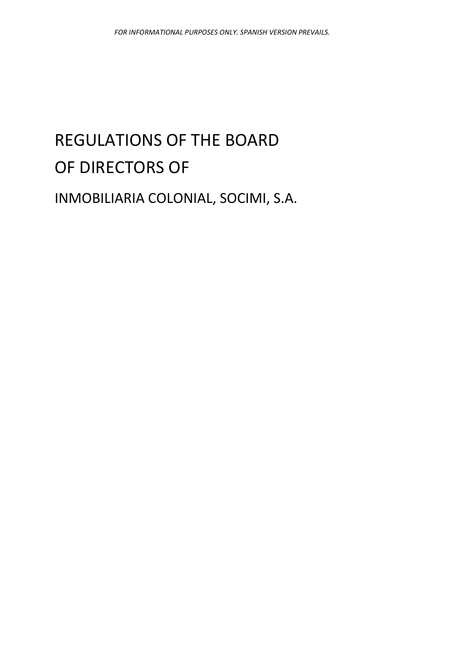# REGULATIONS OF THE BOARD OF DIRECTORS OF

INMOBILIARIA COLONIAL, SOCIMI, S.A.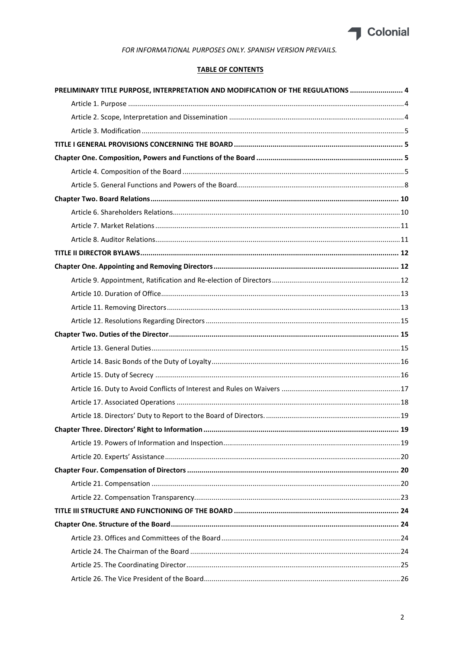

# **TABLE OF CONTENTS**

| PRELIMINARY TITLE PURPOSE, INTERPRETATION AND MODIFICATION OF THE REGULATIONS  4 |    |
|----------------------------------------------------------------------------------|----|
|                                                                                  |    |
|                                                                                  |    |
|                                                                                  |    |
|                                                                                  |    |
|                                                                                  |    |
|                                                                                  |    |
|                                                                                  |    |
|                                                                                  |    |
|                                                                                  |    |
|                                                                                  |    |
|                                                                                  |    |
|                                                                                  |    |
|                                                                                  |    |
|                                                                                  |    |
|                                                                                  |    |
|                                                                                  |    |
|                                                                                  |    |
|                                                                                  |    |
|                                                                                  |    |
|                                                                                  |    |
|                                                                                  |    |
|                                                                                  |    |
|                                                                                  |    |
|                                                                                  |    |
|                                                                                  | 19 |
|                                                                                  |    |
|                                                                                  |    |
|                                                                                  |    |
|                                                                                  |    |
|                                                                                  |    |
|                                                                                  |    |
|                                                                                  |    |
|                                                                                  |    |
|                                                                                  |    |
|                                                                                  |    |
|                                                                                  |    |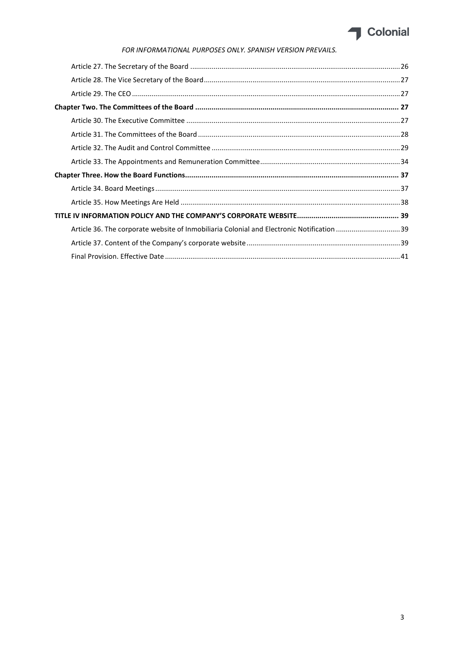

| Article 36. The corporate website of Inmobiliaria Colonial and Electronic Notification 39 |  |
|-------------------------------------------------------------------------------------------|--|
|                                                                                           |  |
|                                                                                           |  |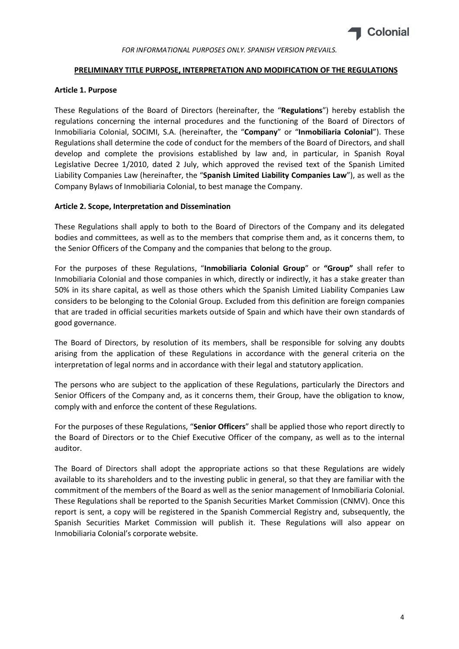

## PRELIMINARY TITLE PURPOSE, INTERPRETATION AND MODIFICATION OF THE REGULATIONS

# Article 1. Purpose

These Regulations of the Board of Directors (hereinafter, the "Regulations") hereby establish the regulations concerning the internal procedures and the functioning of the Board of Directors of Inmobiliaria Colonial, SOCIMI, S.A. (hereinafter, the "Company" or "Inmobiliaria Colonial"). These Regulations shall determine the code of conduct for the members of the Board of Directors, and shall develop and complete the provisions established by law and, in particular, in Spanish Royal Legislative Decree 1/2010, dated 2 July, which approved the revised text of the Spanish Limited Liability Companies Law (hereinafter, the "Spanish Limited Liability Companies Law"), as well as the Company Bylaws of Inmobiliaria Colonial, to best manage the Company.

# Article 2. Scope, Interpretation and Dissemination

These Regulations shall apply to both to the Board of Directors of the Company and its delegated bodies and committees, as well as to the members that comprise them and, as it concerns them, to the Senior Officers of the Company and the companies that belong to the group.

For the purposes of these Regulations, "Inmobiliaria Colonial Group" or "Group" shall refer to Inmobiliaria Colonial and those companies in which, directly or indirectly, it has a stake greater than 50% in its share capital, as well as those others which the Spanish Limited Liability Companies Law considers to be belonging to the Colonial Group. Excluded from this definition are foreign companies that are traded in official securities markets outside of Spain and which have their own standards of good governance.

The Board of Directors, by resolution of its members, shall be responsible for solving any doubts arising from the application of these Regulations in accordance with the general criteria on the interpretation of legal norms and in accordance with their legal and statutory application.

The persons who are subject to the application of these Regulations, particularly the Directors and Senior Officers of the Company and, as it concerns them, their Group, have the obligation to know, comply with and enforce the content of these Regulations.

For the purposes of these Regulations, "Senior Officers" shall be applied those who report directly to the Board of Directors or to the Chief Executive Officer of the company, as well as to the internal auditor.

The Board of Directors shall adopt the appropriate actions so that these Regulations are widely available to its shareholders and to the investing public in general, so that they are familiar with the commitment of the members of the Board as well as the senior management of Inmobiliaria Colonial. These Regulations shall be reported to the Spanish Securities Market Commission (CNMV). Once this report is sent, a copy will be registered in the Spanish Commercial Registry and, subsequently, the Spanish Securities Market Commission will publish it. These Regulations will also appear on Inmobiliaria Colonial's corporate website.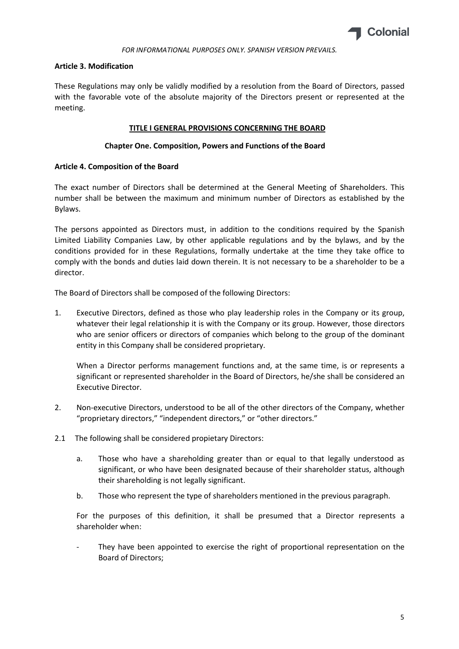

# Article 3. Modification

These Regulations may only be validly modified by a resolution from the Board of Directors, passed with the favorable vote of the absolute majority of the Directors present or represented at the meeting.

# TITLE I GENERAL PROVISIONS CONCERNING THE BOARD

# Chapter One. Composition, Powers and Functions of the Board

# Article 4. Composition of the Board

The exact number of Directors shall be determined at the General Meeting of Shareholders. This number shall be between the maximum and minimum number of Directors as established by the Bylaws.

The persons appointed as Directors must, in addition to the conditions required by the Spanish Limited Liability Companies Law, by other applicable regulations and by the bylaws, and by the conditions provided for in these Regulations, formally undertake at the time they take office to comply with the bonds and duties laid down therein. It is not necessary to be a shareholder to be a director.

The Board of Directors shall be composed of the following Directors:

1. Executive Directors, defined as those who play leadership roles in the Company or its group, whatever their legal relationship it is with the Company or its group. However, those directors who are senior officers or directors of companies which belong to the group of the dominant entity in this Company shall be considered proprietary.

When a Director performs management functions and, at the same time, is or represents a significant or represented shareholder in the Board of Directors, he/she shall be considered an Executive Director.

- 2. Non-executive Directors, understood to be all of the other directors of the Company, whether "proprietary directors," "independent directors," or "other directors."
- 2.1 The following shall be considered propietary Directors:
	- a. Those who have a shareholding greater than or equal to that legally understood as significant, or who have been designated because of their shareholder status, although their shareholding is not legally significant.
	- b. Those who represent the type of shareholders mentioned in the previous paragraph.

For the purposes of this definition, it shall be presumed that a Director represents a shareholder when:

They have been appointed to exercise the right of proportional representation on the Board of Directors;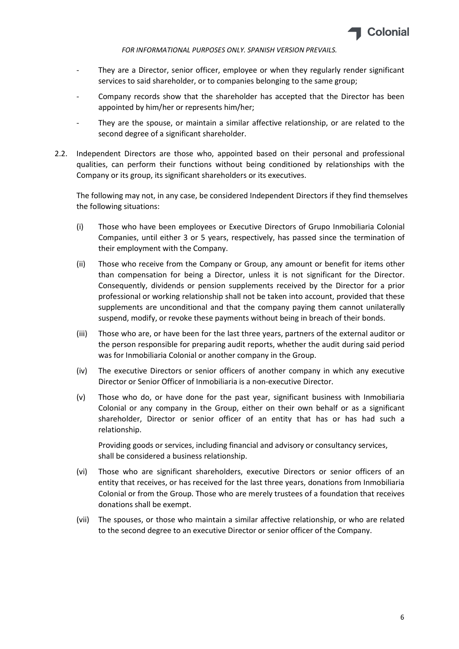

- They are a Director, senior officer, employee or when they regularly render significant services to said shareholder, or to companies belonging to the same group;
- Company records show that the shareholder has accepted that the Director has been appointed by him/her or represents him/her;
- They are the spouse, or maintain a similar affective relationship, or are related to the second degree of a significant shareholder.
- 2.2. Independent Directors are those who, appointed based on their personal and professional qualities, can perform their functions without being conditioned by relationships with the Company or its group, its significant shareholders or its executives.

The following may not, in any case, be considered Independent Directors if they find themselves the following situations:

- (i) Those who have been employees or Executive Directors of Grupo Inmobiliaria Colonial Companies, until either 3 or 5 years, respectively, has passed since the termination of their employment with the Company.
- (ii) Those who receive from the Company or Group, any amount or benefit for items other than compensation for being a Director, unless it is not significant for the Director. Consequently, dividends or pension supplements received by the Director for a prior professional or working relationship shall not be taken into account, provided that these supplements are unconditional and that the company paying them cannot unilaterally suspend, modify, or revoke these payments without being in breach of their bonds.
- (iii) Those who are, or have been for the last three years, partners of the external auditor or the person responsible for preparing audit reports, whether the audit during said period was for Inmobiliaria Colonial or another company in the Group.
- (iv) The executive Directors or senior officers of another company in which any executive Director or Senior Officer of Inmobiliaria is a non-executive Director.
- (v) Those who do, or have done for the past year, significant business with Inmobiliaria Colonial or any company in the Group, either on their own behalf or as a significant shareholder, Director or senior officer of an entity that has or has had such a relationship.

Providing goods or services, including financial and advisory or consultancy services, shall be considered a business relationship.

- (vi) Those who are significant shareholders, executive Directors or senior officers of an entity that receives, or has received for the last three years, donations from Inmobiliaria Colonial or from the Group. Those who are merely trustees of a foundation that receives donations shall be exempt.
- (vii) The spouses, or those who maintain a similar affective relationship, or who are related to the second degree to an executive Director or senior officer of the Company.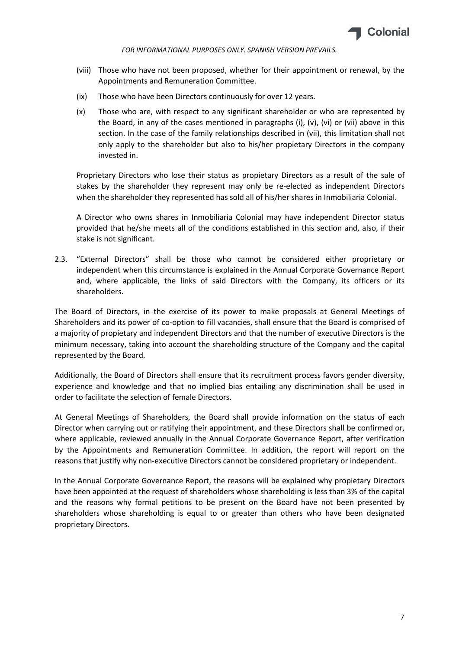

- (viii) Those who have not been proposed, whether for their appointment or renewal, by the Appointments and Remuneration Committee.
- (ix) Those who have been Directors continuously for over 12 years.
- (x) Those who are, with respect to any significant shareholder or who are represented by the Board, in any of the cases mentioned in paragraphs (i),  $(v)$ ,  $(vi)$  or  $(vii)$  above in this section. In the case of the family relationships described in (vii), this limitation shall not only apply to the shareholder but also to his/her propietary Directors in the company invested in.

Proprietary Directors who lose their status as propietary Directors as a result of the sale of stakes by the shareholder they represent may only be re-elected as independent Directors when the shareholder they represented has sold all of his/her shares in Inmobiliaria Colonial.

A Director who owns shares in Inmobiliaria Colonial may have independent Director status provided that he/she meets all of the conditions established in this section and, also, if their stake is not significant.

2.3. "External Directors" shall be those who cannot be considered either proprietary or independent when this circumstance is explained in the Annual Corporate Governance Report and, where applicable, the links of said Directors with the Company, its officers or its shareholders.

The Board of Directors, in the exercise of its power to make proposals at General Meetings of Shareholders and its power of co-option to fill vacancies, shall ensure that the Board is comprised of a majority of propietary and independent Directors and that the number of executive Directors is the minimum necessary, taking into account the shareholding structure of the Company and the capital represented by the Board.

Additionally, the Board of Directors shall ensure that its recruitment process favors gender diversity, experience and knowledge and that no implied bias entailing any discrimination shall be used in order to facilitate the selection of female Directors.

At General Meetings of Shareholders, the Board shall provide information on the status of each Director when carrying out or ratifying their appointment, and these Directors shall be confirmed or, where applicable, reviewed annually in the Annual Corporate Governance Report, after verification by the Appointments and Remuneration Committee. In addition, the report will report on the reasons that justify why non-executive Directors cannot be considered proprietary or independent.

In the Annual Corporate Governance Report, the reasons will be explained why propietary Directors have been appointed at the request of shareholders whose shareholding is less than 3% of the capital and the reasons why formal petitions to be present on the Board have not been presented by shareholders whose shareholding is equal to or greater than others who have been designated proprietary Directors.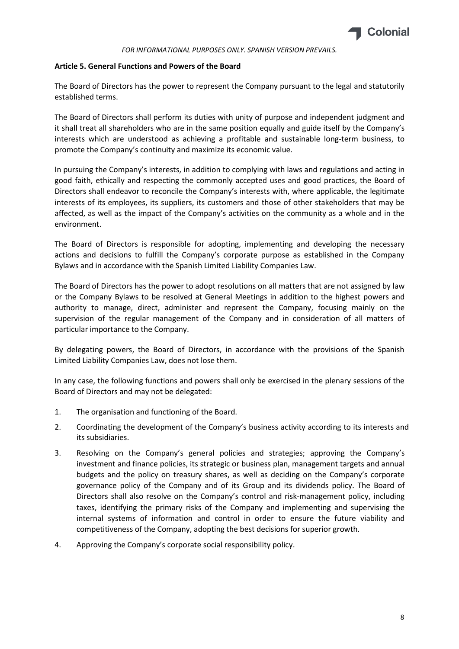

# Article 5. General Functions and Powers of the Board

The Board of Directors has the power to represent the Company pursuant to the legal and statutorily established terms.

The Board of Directors shall perform its duties with unity of purpose and independent judgment and it shall treat all shareholders who are in the same position equally and guide itself by the Company's interests which are understood as achieving a profitable and sustainable long-term business, to promote the Company's continuity and maximize its economic value.

In pursuing the Company's interests, in addition to complying with laws and regulations and acting in good faith, ethically and respecting the commonly accepted uses and good practices, the Board of Directors shall endeavor to reconcile the Company's interests with, where applicable, the legitimate interests of its employees, its suppliers, its customers and those of other stakeholders that may be affected, as well as the impact of the Company's activities on the community as a whole and in the environment.

The Board of Directors is responsible for adopting, implementing and developing the necessary actions and decisions to fulfill the Company's corporate purpose as established in the Company Bylaws and in accordance with the Spanish Limited Liability Companies Law.

The Board of Directors has the power to adopt resolutions on all matters that are not assigned by law or the Company Bylaws to be resolved at General Meetings in addition to the highest powers and authority to manage, direct, administer and represent the Company, focusing mainly on the supervision of the regular management of the Company and in consideration of all matters of particular importance to the Company.

By delegating powers, the Board of Directors, in accordance with the provisions of the Spanish Limited Liability Companies Law, does not lose them.

In any case, the following functions and powers shall only be exercised in the plenary sessions of the Board of Directors and may not be delegated:

- 1. The organisation and functioning of the Board.
- 2. Coordinating the development of the Company's business activity according to its interests and its subsidiaries.
- 3. Resolving on the Company's general policies and strategies; approving the Company's investment and finance policies, its strategic or business plan, management targets and annual budgets and the policy on treasury shares, as well as deciding on the Company's corporate governance policy of the Company and of its Group and its dividends policy. The Board of Directors shall also resolve on the Company's control and risk-management policy, including taxes, identifying the primary risks of the Company and implementing and supervising the internal systems of information and control in order to ensure the future viability and competitiveness of the Company, adopting the best decisions for superior growth.
- 4. Approving the Company's corporate social responsibility policy.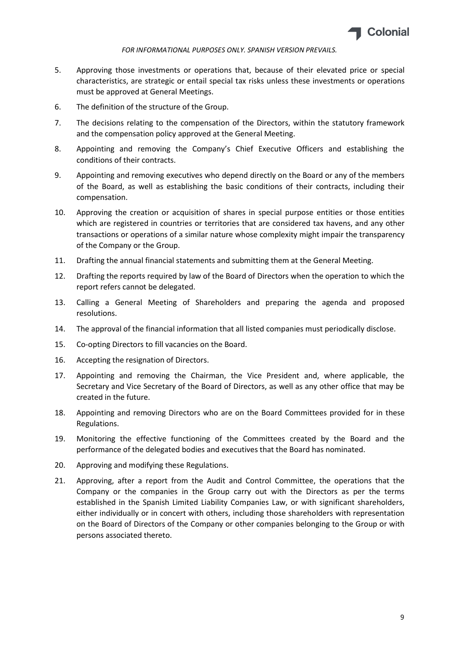

- 5. Approving those investments or operations that, because of their elevated price or special characteristics, are strategic or entail special tax risks unless these investments or operations must be approved at General Meetings.
- 6. The definition of the structure of the Group.
- 7. The decisions relating to the compensation of the Directors, within the statutory framework and the compensation policy approved at the General Meeting.
- 8. Appointing and removing the Company's Chief Executive Officers and establishing the conditions of their contracts.
- 9. Appointing and removing executives who depend directly on the Board or any of the members of the Board, as well as establishing the basic conditions of their contracts, including their compensation.
- 10. Approving the creation or acquisition of shares in special purpose entities or those entities which are registered in countries or territories that are considered tax havens, and any other transactions or operations of a similar nature whose complexity might impair the transparency of the Company or the Group.
- 11. Drafting the annual financial statements and submitting them at the General Meeting.
- 12. Drafting the reports required by law of the Board of Directors when the operation to which the report refers cannot be delegated.
- 13. Calling a General Meeting of Shareholders and preparing the agenda and proposed resolutions.
- 14. The approval of the financial information that all listed companies must periodically disclose.
- 15. Co-opting Directors to fill vacancies on the Board.
- 16. Accepting the resignation of Directors.
- 17. Appointing and removing the Chairman, the Vice President and, where applicable, the Secretary and Vice Secretary of the Board of Directors, as well as any other office that may be created in the future.
- 18. Appointing and removing Directors who are on the Board Committees provided for in these Regulations.
- 19. Monitoring the effective functioning of the Committees created by the Board and the performance of the delegated bodies and executives that the Board has nominated.
- 20. Approving and modifying these Regulations.
- 21. Approving, after a report from the Audit and Control Committee, the operations that the Company or the companies in the Group carry out with the Directors as per the terms established in the Spanish Limited Liability Companies Law, or with significant shareholders, either individually or in concert with others, including those shareholders with representation on the Board of Directors of the Company or other companies belonging to the Group or with persons associated thereto.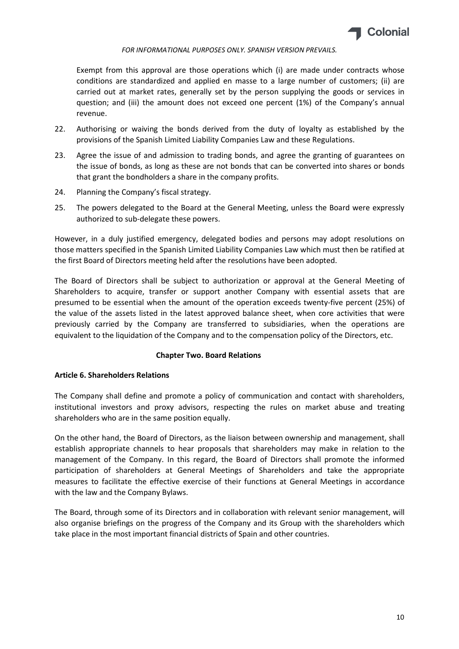

Exempt from this approval are those operations which (i) are made under contracts whose conditions are standardized and applied en masse to a large number of customers; (ii) are carried out at market rates, generally set by the person supplying the goods or services in question; and (iii) the amount does not exceed one percent (1%) of the Company's annual revenue.

- 22. Authorising or waiving the bonds derived from the duty of loyalty as established by the provisions of the Spanish Limited Liability Companies Law and these Regulations.
- 23. Agree the issue of and admission to trading bonds, and agree the granting of guarantees on the issue of bonds, as long as these are not bonds that can be converted into shares or bonds that grant the bondholders a share in the company profits.
- 24. Planning the Company's fiscal strategy.
- 25. The powers delegated to the Board at the General Meeting, unless the Board were expressly authorized to sub-delegate these powers.

However, in a duly justified emergency, delegated bodies and persons may adopt resolutions on those matters specified in the Spanish Limited Liability Companies Law which must then be ratified at the first Board of Directors meeting held after the resolutions have been adopted.

The Board of Directors shall be subject to authorization or approval at the General Meeting of Shareholders to acquire, transfer or support another Company with essential assets that are presumed to be essential when the amount of the operation exceeds twenty-five percent (25%) of the value of the assets listed in the latest approved balance sheet, when core activities that were previously carried by the Company are transferred to subsidiaries, when the operations are equivalent to the liquidation of the Company and to the compensation policy of the Directors, etc.

## Chapter Two. Board Relations

## Article 6. Shareholders Relations

The Company shall define and promote a policy of communication and contact with shareholders, institutional investors and proxy advisors, respecting the rules on market abuse and treating shareholders who are in the same position equally.

On the other hand, the Board of Directors, as the liaison between ownership and management, shall establish appropriate channels to hear proposals that shareholders may make in relation to the management of the Company. In this regard, the Board of Directors shall promote the informed participation of shareholders at General Meetings of Shareholders and take the appropriate measures to facilitate the effective exercise of their functions at General Meetings in accordance with the law and the Company Bylaws.

The Board, through some of its Directors and in collaboration with relevant senior management, will also organise briefings on the progress of the Company and its Group with the shareholders which take place in the most important financial districts of Spain and other countries.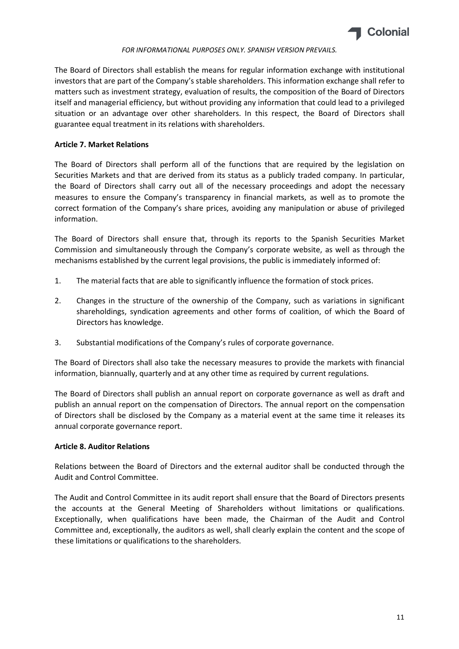

The Board of Directors shall establish the means for regular information exchange with institutional investors that are part of the Company's stable shareholders. This information exchange shall refer to matters such as investment strategy, evaluation of results, the composition of the Board of Directors itself and managerial efficiency, but without providing any information that could lead to a privileged situation or an advantage over other shareholders. In this respect, the Board of Directors shall guarantee equal treatment in its relations with shareholders.

# Article 7. Market Relations

The Board of Directors shall perform all of the functions that are required by the legislation on Securities Markets and that are derived from its status as a publicly traded company. In particular, the Board of Directors shall carry out all of the necessary proceedings and adopt the necessary measures to ensure the Company's transparency in financial markets, as well as to promote the correct formation of the Company's share prices, avoiding any manipulation or abuse of privileged information.

The Board of Directors shall ensure that, through its reports to the Spanish Securities Market Commission and simultaneously through the Company's corporate website, as well as through the mechanisms established by the current legal provisions, the public is immediately informed of:

- 1. The material facts that are able to significantly influence the formation of stock prices.
- 2. Changes in the structure of the ownership of the Company, such as variations in significant shareholdings, syndication agreements and other forms of coalition, of which the Board of Directors has knowledge.
- 3. Substantial modifications of the Company's rules of corporate governance.

The Board of Directors shall also take the necessary measures to provide the markets with financial information, biannually, quarterly and at any other time as required by current regulations.

The Board of Directors shall publish an annual report on corporate governance as well as draft and publish an annual report on the compensation of Directors. The annual report on the compensation of Directors shall be disclosed by the Company as a material event at the same time it releases its annual corporate governance report.

# Article 8. Auditor Relations

Relations between the Board of Directors and the external auditor shall be conducted through the Audit and Control Committee.

The Audit and Control Committee in its audit report shall ensure that the Board of Directors presents the accounts at the General Meeting of Shareholders without limitations or qualifications. Exceptionally, when qualifications have been made, the Chairman of the Audit and Control Committee and, exceptionally, the auditors as well, shall clearly explain the content and the scope of these limitations or qualifications to the shareholders.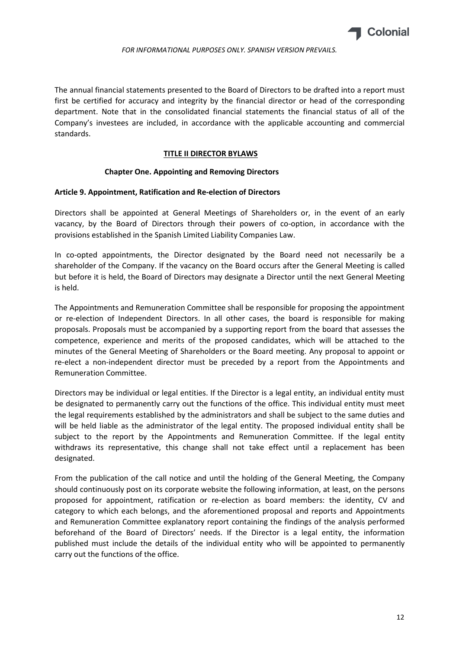

The annual financial statements presented to the Board of Directors to be drafted into a report must first be certified for accuracy and integrity by the financial director or head of the corresponding department. Note that in the consolidated financial statements the financial status of all of the Company's investees are included, in accordance with the applicable accounting and commercial standards.

# TITLE II DIRECTOR BYLAWS

# Chapter One. Appointing and Removing Directors

## Article 9. Appointment, Ratification and Re-election of Directors

Directors shall be appointed at General Meetings of Shareholders or, in the event of an early vacancy, by the Board of Directors through their powers of co-option, in accordance with the provisions established in the Spanish Limited Liability Companies Law.

In co-opted appointments, the Director designated by the Board need not necessarily be a shareholder of the Company. If the vacancy on the Board occurs after the General Meeting is called but before it is held, the Board of Directors may designate a Director until the next General Meeting is held.

The Appointments and Remuneration Committee shall be responsible for proposing the appointment or re-election of Independent Directors. In all other cases, the board is responsible for making proposals. Proposals must be accompanied by a supporting report from the board that assesses the competence, experience and merits of the proposed candidates, which will be attached to the minutes of the General Meeting of Shareholders or the Board meeting. Any proposal to appoint or re-elect a non-independent director must be preceded by a report from the Appointments and Remuneration Committee.

Directors may be individual or legal entities. If the Director is a legal entity, an individual entity must be designated to permanently carry out the functions of the office. This individual entity must meet the legal requirements established by the administrators and shall be subject to the same duties and will be held liable as the administrator of the legal entity. The proposed individual entity shall be subject to the report by the Appointments and Remuneration Committee. If the legal entity withdraws its representative, this change shall not take effect until a replacement has been designated.

From the publication of the call notice and until the holding of the General Meeting, the Company should continuously post on its corporate website the following information, at least, on the persons proposed for appointment, ratification or re-election as board members: the identity, CV and category to which each belongs, and the aforementioned proposal and reports and Appointments and Remuneration Committee explanatory report containing the findings of the analysis performed beforehand of the Board of Directors' needs. If the Director is a legal entity, the information published must include the details of the individual entity who will be appointed to permanently carry out the functions of the office.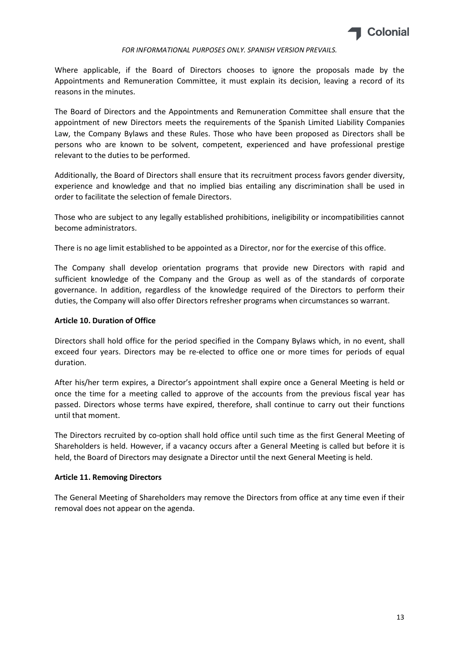

Where applicable, if the Board of Directors chooses to ignore the proposals made by the Appointments and Remuneration Committee, it must explain its decision, leaving a record of its reasons in the minutes.

The Board of Directors and the Appointments and Remuneration Committee shall ensure that the appointment of new Directors meets the requirements of the Spanish Limited Liability Companies Law, the Company Bylaws and these Rules. Those who have been proposed as Directors shall be persons who are known to be solvent, competent, experienced and have professional prestige relevant to the duties to be performed.

Additionally, the Board of Directors shall ensure that its recruitment process favors gender diversity, experience and knowledge and that no implied bias entailing any discrimination shall be used in order to facilitate the selection of female Directors.

Those who are subject to any legally established prohibitions, ineligibility or incompatibilities cannot become administrators.

There is no age limit established to be appointed as a Director, nor for the exercise of this office.

The Company shall develop orientation programs that provide new Directors with rapid and sufficient knowledge of the Company and the Group as well as of the standards of corporate governance. In addition, regardless of the knowledge required of the Directors to perform their duties, the Company will also offer Directors refresher programs when circumstances so warrant.

# Article 10. Duration of Office

Directors shall hold office for the period specified in the Company Bylaws which, in no event, shall exceed four years. Directors may be re-elected to office one or more times for periods of equal duration.

After his/her term expires, a Director's appointment shall expire once a General Meeting is held or once the time for a meeting called to approve of the accounts from the previous fiscal year has passed. Directors whose terms have expired, therefore, shall continue to carry out their functions until that moment.

The Directors recruited by co-option shall hold office until such time as the first General Meeting of Shareholders is held. However, if a vacancy occurs after a General Meeting is called but before it is held, the Board of Directors may designate a Director until the next General Meeting is held.

## Article 11. Removing Directors

The General Meeting of Shareholders may remove the Directors from office at any time even if their removal does not appear on the agenda.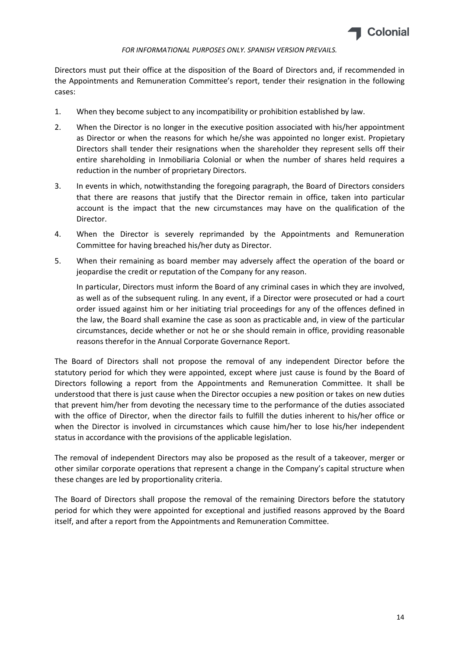

Directors must put their office at the disposition of the Board of Directors and, if recommended in the Appointments and Remuneration Committee's report, tender their resignation in the following cases:

- 1. When they become subject to any incompatibility or prohibition established by law.
- 2. When the Director is no longer in the executive position associated with his/her appointment as Director or when the reasons for which he/she was appointed no longer exist. Propietary Directors shall tender their resignations when the shareholder they represent sells off their entire shareholding in Inmobiliaria Colonial or when the number of shares held requires a reduction in the number of proprietary Directors.
- 3. In events in which, notwithstanding the foregoing paragraph, the Board of Directors considers that there are reasons that justify that the Director remain in office, taken into particular account is the impact that the new circumstances may have on the qualification of the Director.
- 4. When the Director is severely reprimanded by the Appointments and Remuneration Committee for having breached his/her duty as Director.
- 5. When their remaining as board member may adversely affect the operation of the board or jeopardise the credit or reputation of the Company for any reason.

In particular, Directors must inform the Board of any criminal cases in which they are involved, as well as of the subsequent ruling. In any event, if a Director were prosecuted or had a court order issued against him or her initiating trial proceedings for any of the offences defined in the law, the Board shall examine the case as soon as practicable and, in view of the particular circumstances, decide whether or not he or she should remain in office, providing reasonable reasons therefor in the Annual Corporate Governance Report.

The Board of Directors shall not propose the removal of any independent Director before the statutory period for which they were appointed, except where just cause is found by the Board of Directors following a report from the Appointments and Remuneration Committee. It shall be understood that there is just cause when the Director occupies a new position or takes on new duties that prevent him/her from devoting the necessary time to the performance of the duties associated with the office of Director, when the director fails to fulfill the duties inherent to his/her office or when the Director is involved in circumstances which cause him/her to lose his/her independent status in accordance with the provisions of the applicable legislation.

The removal of independent Directors may also be proposed as the result of a takeover, merger or other similar corporate operations that represent a change in the Company's capital structure when these changes are led by proportionality criteria.

The Board of Directors shall propose the removal of the remaining Directors before the statutory period for which they were appointed for exceptional and justified reasons approved by the Board itself, and after a report from the Appointments and Remuneration Committee.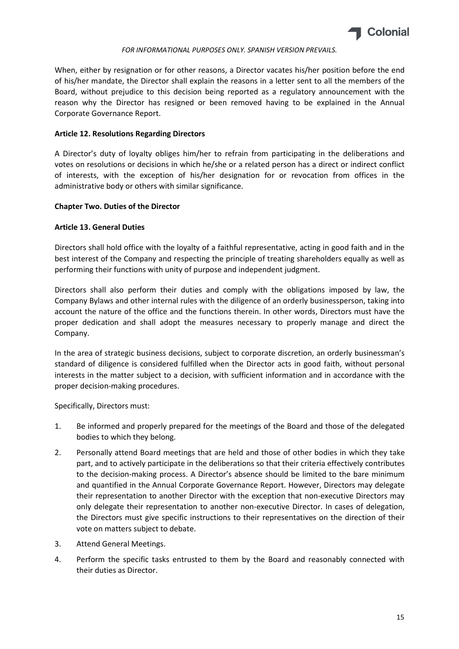

When, either by resignation or for other reasons, a Director vacates his/her position before the end of his/her mandate, the Director shall explain the reasons in a letter sent to all the members of the Board, without prejudice to this decision being reported as a regulatory announcement with the reason why the Director has resigned or been removed having to be explained in the Annual Corporate Governance Report.

# Article 12. Resolutions Regarding Directors

A Director's duty of loyalty obliges him/her to refrain from participating in the deliberations and votes on resolutions or decisions in which he/she or a related person has a direct or indirect conflict of interests, with the exception of his/her designation for or revocation from offices in the administrative body or others with similar significance.

# Chapter Two. Duties of the Director

# Article 13. General Duties

Directors shall hold office with the loyalty of a faithful representative, acting in good faith and in the best interest of the Company and respecting the principle of treating shareholders equally as well as performing their functions with unity of purpose and independent judgment.

Directors shall also perform their duties and comply with the obligations imposed by law, the Company Bylaws and other internal rules with the diligence of an orderly businessperson, taking into account the nature of the office and the functions therein. In other words, Directors must have the proper dedication and shall adopt the measures necessary to properly manage and direct the Company.

In the area of strategic business decisions, subject to corporate discretion, an orderly businessman's standard of diligence is considered fulfilled when the Director acts in good faith, without personal interests in the matter subject to a decision, with sufficient information and in accordance with the proper decision-making procedures.

Specifically, Directors must:

- 1. Be informed and properly prepared for the meetings of the Board and those of the delegated bodies to which they belong.
- 2. Personally attend Board meetings that are held and those of other bodies in which they take part, and to actively participate in the deliberations so that their criteria effectively contributes to the decision-making process. A Director's absence should be limited to the bare minimum and quantified in the Annual Corporate Governance Report. However, Directors may delegate their representation to another Director with the exception that non-executive Directors may only delegate their representation to another non-executive Director. In cases of delegation, the Directors must give specific instructions to their representatives on the direction of their vote on matters subject to debate.
- 3. Attend General Meetings.
- 4. Perform the specific tasks entrusted to them by the Board and reasonably connected with their duties as Director.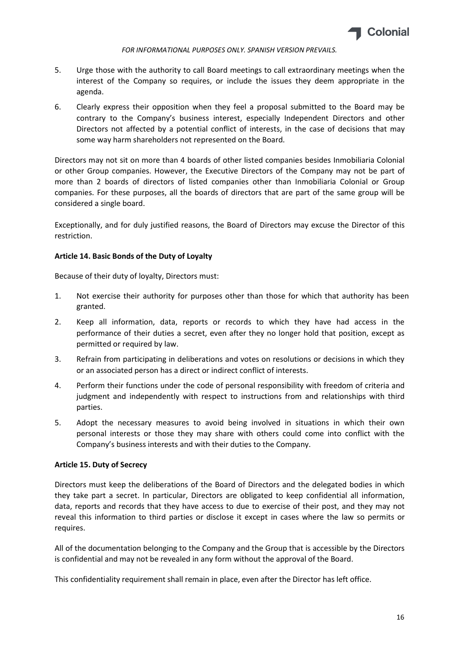

- 5. Urge those with the authority to call Board meetings to call extraordinary meetings when the interest of the Company so requires, or include the issues they deem appropriate in the agenda.
- 6. Clearly express their opposition when they feel a proposal submitted to the Board may be contrary to the Company's business interest, especially Independent Directors and other Directors not affected by a potential conflict of interests, in the case of decisions that may some way harm shareholders not represented on the Board.

Directors may not sit on more than 4 boards of other listed companies besides Inmobiliaria Colonial or other Group companies. However, the Executive Directors of the Company may not be part of more than 2 boards of directors of listed companies other than Inmobiliaria Colonial or Group companies. For these purposes, all the boards of directors that are part of the same group will be considered a single board.

Exceptionally, and for duly justified reasons, the Board of Directors may excuse the Director of this restriction.

# Article 14. Basic Bonds of the Duty of Loyalty

Because of their duty of loyalty, Directors must:

- 1. Not exercise their authority for purposes other than those for which that authority has been granted.
- 2. Keep all information, data, reports or records to which they have had access in the performance of their duties a secret, even after they no longer hold that position, except as permitted or required by law.
- 3. Refrain from participating in deliberations and votes on resolutions or decisions in which they or an associated person has a direct or indirect conflict of interests.
- 4. Perform their functions under the code of personal responsibility with freedom of criteria and judgment and independently with respect to instructions from and relationships with third parties.
- 5. Adopt the necessary measures to avoid being involved in situations in which their own personal interests or those they may share with others could come into conflict with the Company's business interests and with their duties to the Company.

# Article 15. Duty of Secrecy

Directors must keep the deliberations of the Board of Directors and the delegated bodies in which they take part a secret. In particular, Directors are obligated to keep confidential all information, data, reports and records that they have access to due to exercise of their post, and they may not reveal this information to third parties or disclose it except in cases where the law so permits or requires.

All of the documentation belonging to the Company and the Group that is accessible by the Directors is confidential and may not be revealed in any form without the approval of the Board.

This confidentiality requirement shall remain in place, even after the Director has left office.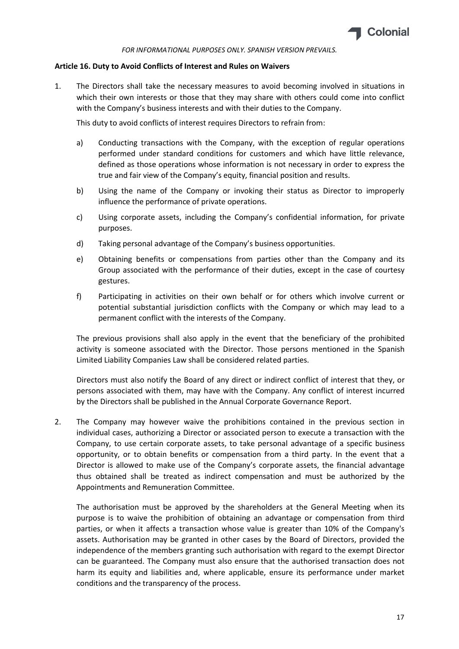

# Article 16. Duty to Avoid Conflicts of Interest and Rules on Waivers

1. The Directors shall take the necessary measures to avoid becoming involved in situations in which their own interests or those that they may share with others could come into conflict with the Company's business interests and with their duties to the Company.

This duty to avoid conflicts of interest requires Directors to refrain from:

- a) Conducting transactions with the Company, with the exception of regular operations performed under standard conditions for customers and which have little relevance, defined as those operations whose information is not necessary in order to express the true and fair view of the Company's equity, financial position and results.
- b) Using the name of the Company or invoking their status as Director to improperly influence the performance of private operations.
- c) Using corporate assets, including the Company's confidential information, for private purposes.
- d) Taking personal advantage of the Company's business opportunities.
- e) Obtaining benefits or compensations from parties other than the Company and its Group associated with the performance of their duties, except in the case of courtesy gestures.
- f) Participating in activities on their own behalf or for others which involve current or potential substantial jurisdiction conflicts with the Company or which may lead to a permanent conflict with the interests of the Company.

The previous provisions shall also apply in the event that the beneficiary of the prohibited activity is someone associated with the Director. Those persons mentioned in the Spanish Limited Liability Companies Law shall be considered related parties.

Directors must also notify the Board of any direct or indirect conflict of interest that they, or persons associated with them, may have with the Company. Any conflict of interest incurred by the Directors shall be published in the Annual Corporate Governance Report.

2. The Company may however waive the prohibitions contained in the previous section in individual cases, authorizing a Director or associated person to execute a transaction with the Company, to use certain corporate assets, to take personal advantage of a specific business opportunity, or to obtain benefits or compensation from a third party. In the event that a Director is allowed to make use of the Company's corporate assets, the financial advantage thus obtained shall be treated as indirect compensation and must be authorized by the Appointments and Remuneration Committee.

The authorisation must be approved by the shareholders at the General Meeting when its purpose is to waive the prohibition of obtaining an advantage or compensation from third parties, or when it affects a transaction whose value is greater than 10% of the Company's assets. Authorisation may be granted in other cases by the Board of Directors, provided the independence of the members granting such authorisation with regard to the exempt Director can be guaranteed. The Company must also ensure that the authorised transaction does not harm its equity and liabilities and, where applicable, ensure its performance under market conditions and the transparency of the process.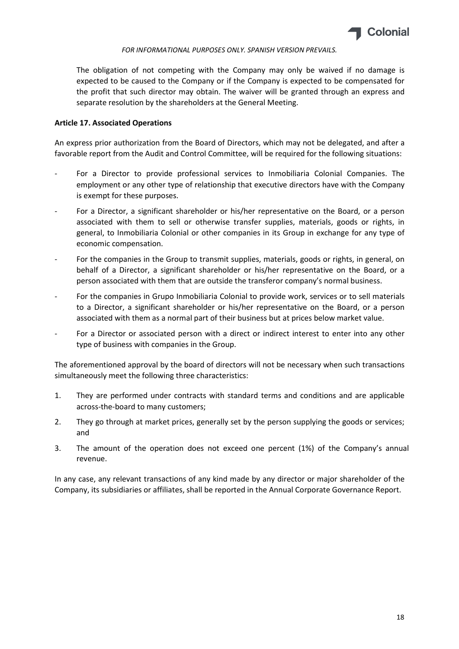

The obligation of not competing with the Company may only be waived if no damage is expected to be caused to the Company or if the Company is expected to be compensated for the profit that such director may obtain. The waiver will be granted through an express and separate resolution by the shareholders at the General Meeting.

# Article 17. Associated Operations

An express prior authorization from the Board of Directors, which may not be delegated, and after a favorable report from the Audit and Control Committee, will be required for the following situations:

- For a Director to provide professional services to Inmobiliaria Colonial Companies. The employment or any other type of relationship that executive directors have with the Company is exempt for these purposes.
- For a Director, a significant shareholder or his/her representative on the Board, or a person associated with them to sell or otherwise transfer supplies, materials, goods or rights, in general, to Inmobiliaria Colonial or other companies in its Group in exchange for any type of economic compensation.
- For the companies in the Group to transmit supplies, materials, goods or rights, in general, on behalf of a Director, a significant shareholder or his/her representative on the Board, or a person associated with them that are outside the transferor company's normal business.
- For the companies in Grupo Inmobiliaria Colonial to provide work, services or to sell materials to a Director, a significant shareholder or his/her representative on the Board, or a person associated with them as a normal part of their business but at prices below market value.
- For a Director or associated person with a direct or indirect interest to enter into any other type of business with companies in the Group.

The aforementioned approval by the board of directors will not be necessary when such transactions simultaneously meet the following three characteristics:

- 1. They are performed under contracts with standard terms and conditions and are applicable across-the-board to many customers;
- 2. They go through at market prices, generally set by the person supplying the goods or services; and
- 3. The amount of the operation does not exceed one percent (1%) of the Company's annual revenue.

In any case, any relevant transactions of any kind made by any director or major shareholder of the Company, its subsidiaries or affiliates, shall be reported in the Annual Corporate Governance Report.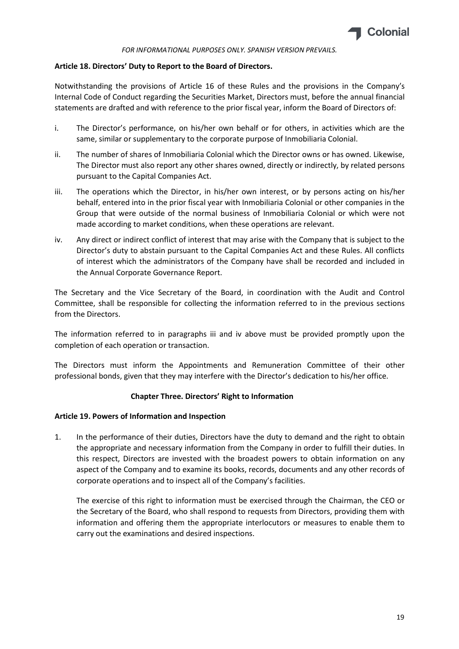

# Article 18. Directors' Duty to Report to the Board of Directors.

Notwithstanding the provisions of Article 16 of these Rules and the provisions in the Company's Internal Code of Conduct regarding the Securities Market, Directors must, before the annual financial statements are drafted and with reference to the prior fiscal year, inform the Board of Directors of:

- i. The Director's performance, on his/her own behalf or for others, in activities which are the same, similar or supplementary to the corporate purpose of Inmobiliaria Colonial.
- ii. The number of shares of Inmobiliaria Colonial which the Director owns or has owned. Likewise, The Director must also report any other shares owned, directly or indirectly, by related persons pursuant to the Capital Companies Act.
- iii. The operations which the Director, in his/her own interest, or by persons acting on his/her behalf, entered into in the prior fiscal year with Inmobiliaria Colonial or other companies in the Group that were outside of the normal business of Inmobiliaria Colonial or which were not made according to market conditions, when these operations are relevant.
- iv. Any direct or indirect conflict of interest that may arise with the Company that is subject to the Director's duty to abstain pursuant to the Capital Companies Act and these Rules. All conflicts of interest which the administrators of the Company have shall be recorded and included in the Annual Corporate Governance Report.

The Secretary and the Vice Secretary of the Board, in coordination with the Audit and Control Committee, shall be responsible for collecting the information referred to in the previous sections from the Directors.

The information referred to in paragraphs iii and iv above must be provided promptly upon the completion of each operation or transaction.

The Directors must inform the Appointments and Remuneration Committee of their other professional bonds, given that they may interfere with the Director's dedication to his/her office.

# Chapter Three. Directors' Right to Information

## Article 19. Powers of Information and Inspection

1. In the performance of their duties, Directors have the duty to demand and the right to obtain the appropriate and necessary information from the Company in order to fulfill their duties. In this respect, Directors are invested with the broadest powers to obtain information on any aspect of the Company and to examine its books, records, documents and any other records of corporate operations and to inspect all of the Company's facilities.

The exercise of this right to information must be exercised through the Chairman, the CEO or the Secretary of the Board, who shall respond to requests from Directors, providing them with information and offering them the appropriate interlocutors or measures to enable them to carry out the examinations and desired inspections.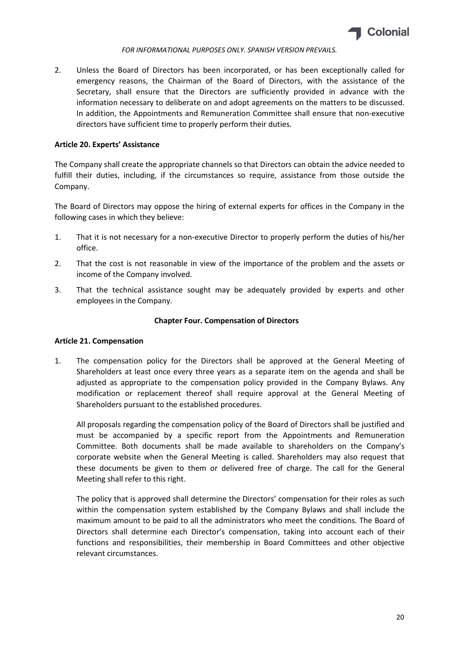

2. Unless the Board of Directors has been incorporated, or has been exceptionally called for emergency reasons, the Chairman of the Board of Directors, with the assistance of the Secretary, shall ensure that the Directors are sufficiently provided in advance with the information necessary to deliberate on and adopt agreements on the matters to be discussed. In addition, the Appointments and Remuneration Committee shall ensure that non-executive directors have sufficient time to properly perform their duties.

# Article 20. Experts' Assistance

The Company shall create the appropriate channels so that Directors can obtain the advice needed to fulfill their duties, including, if the circumstances so require, assistance from those outside the Company.

The Board of Directors may oppose the hiring of external experts for offices in the Company in the following cases in which they believe:

- 1. That it is not necessary for a non-executive Director to properly perform the duties of his/her office.
- 2. That the cost is not reasonable in view of the importance of the problem and the assets or income of the Company involved.
- 3. That the technical assistance sought may be adequately provided by experts and other employees in the Company.

# Chapter Four. Compensation of Directors

## Article 21. Compensation

1. The compensation policy for the Directors shall be approved at the General Meeting of Shareholders at least once every three years as a separate item on the agenda and shall be adjusted as appropriate to the compensation policy provided in the Company Bylaws. Any modification or replacement thereof shall require approval at the General Meeting of Shareholders pursuant to the established procedures.

All proposals regarding the compensation policy of the Board of Directors shall be justified and must be accompanied by a specific report from the Appointments and Remuneration Committee. Both documents shall be made available to shareholders on the Company's corporate website when the General Meeting is called. Shareholders may also request that these documents be given to them or delivered free of charge. The call for the General Meeting shall refer to this right.

The policy that is approved shall determine the Directors' compensation for their roles as such within the compensation system established by the Company Bylaws and shall include the maximum amount to be paid to all the administrators who meet the conditions. The Board of Directors shall determine each Director's compensation, taking into account each of their functions and responsibilities, their membership in Board Committees and other objective relevant circumstances.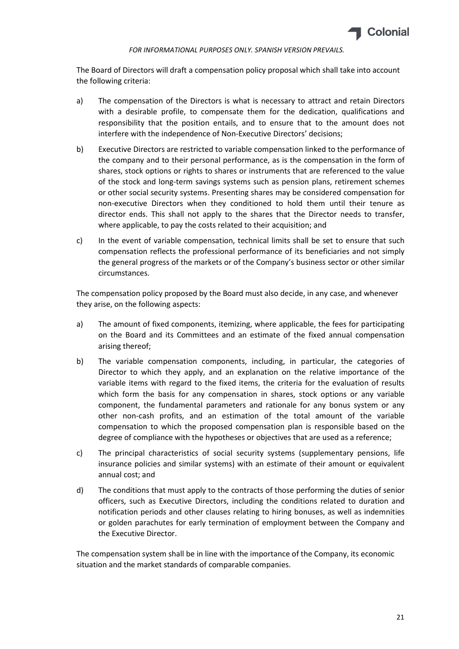

The Board of Directors will draft a compensation policy proposal which shall take into account the following criteria:

- a) The compensation of the Directors is what is necessary to attract and retain Directors with a desirable profile, to compensate them for the dedication, qualifications and responsibility that the position entails, and to ensure that to the amount does not interfere with the independence of Non-Executive Directors' decisions;
- b) Executive Directors are restricted to variable compensation linked to the performance of the company and to their personal performance, as is the compensation in the form of shares, stock options or rights to shares or instruments that are referenced to the value of the stock and long-term savings systems such as pension plans, retirement schemes or other social security systems. Presenting shares may be considered compensation for non-executive Directors when they conditioned to hold them until their tenure as director ends. This shall not apply to the shares that the Director needs to transfer, where applicable, to pay the costs related to their acquisition; and
- c) In the event of variable compensation, technical limits shall be set to ensure that such compensation reflects the professional performance of its beneficiaries and not simply the general progress of the markets or of the Company's business sector or other similar circumstances.

The compensation policy proposed by the Board must also decide, in any case, and whenever they arise, on the following aspects:

- a) The amount of fixed components, itemizing, where applicable, the fees for participating on the Board and its Committees and an estimate of the fixed annual compensation arising thereof;
- b) The variable compensation components, including, in particular, the categories of Director to which they apply, and an explanation on the relative importance of the variable items with regard to the fixed items, the criteria for the evaluation of results which form the basis for any compensation in shares, stock options or any variable component, the fundamental parameters and rationale for any bonus system or any other non-cash profits, and an estimation of the total amount of the variable compensation to which the proposed compensation plan is responsible based on the degree of compliance with the hypotheses or objectives that are used as a reference;
- c) The principal characteristics of social security systems (supplementary pensions, life insurance policies and similar systems) with an estimate of their amount or equivalent annual cost; and
- d) The conditions that must apply to the contracts of those performing the duties of senior officers, such as Executive Directors, including the conditions related to duration and notification periods and other clauses relating to hiring bonuses, as well as indemnities or golden parachutes for early termination of employment between the Company and the Executive Director.

The compensation system shall be in line with the importance of the Company, its economic situation and the market standards of comparable companies.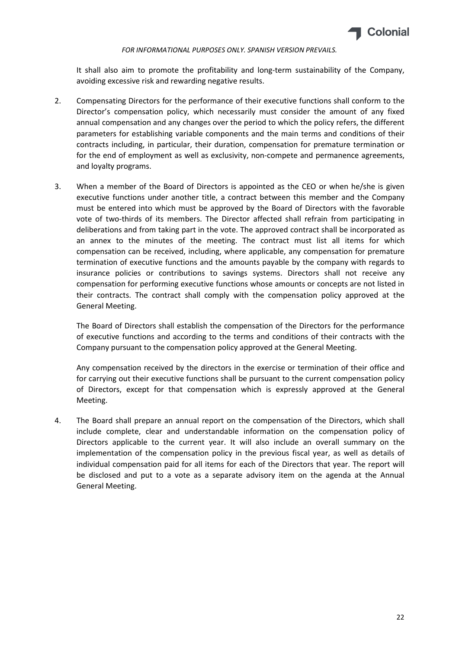

It shall also aim to promote the profitability and long-term sustainability of the Company, avoiding excessive risk and rewarding negative results.

- 2. Compensating Directors for the performance of their executive functions shall conform to the Director's compensation policy, which necessarily must consider the amount of any fixed annual compensation and any changes over the period to which the policy refers, the different parameters for establishing variable components and the main terms and conditions of their contracts including, in particular, their duration, compensation for premature termination or for the end of employment as well as exclusivity, non-compete and permanence agreements, and loyalty programs.
- 3. When a member of the Board of Directors is appointed as the CEO or when he/she is given executive functions under another title, a contract between this member and the Company must be entered into which must be approved by the Board of Directors with the favorable vote of two-thirds of its members. The Director affected shall refrain from participating in deliberations and from taking part in the vote. The approved contract shall be incorporated as an annex to the minutes of the meeting. The contract must list all items for which compensation can be received, including, where applicable, any compensation for premature termination of executive functions and the amounts payable by the company with regards to insurance policies or contributions to savings systems. Directors shall not receive any compensation for performing executive functions whose amounts or concepts are not listed in their contracts. The contract shall comply with the compensation policy approved at the General Meeting.

The Board of Directors shall establish the compensation of the Directors for the performance of executive functions and according to the terms and conditions of their contracts with the Company pursuant to the compensation policy approved at the General Meeting.

Any compensation received by the directors in the exercise or termination of their office and for carrying out their executive functions shall be pursuant to the current compensation policy of Directors, except for that compensation which is expressly approved at the General Meeting.

4. The Board shall prepare an annual report on the compensation of the Directors, which shall include complete, clear and understandable information on the compensation policy of Directors applicable to the current year. It will also include an overall summary on the implementation of the compensation policy in the previous fiscal year, as well as details of individual compensation paid for all items for each of the Directors that year. The report will be disclosed and put to a vote as a separate advisory item on the agenda at the Annual General Meeting.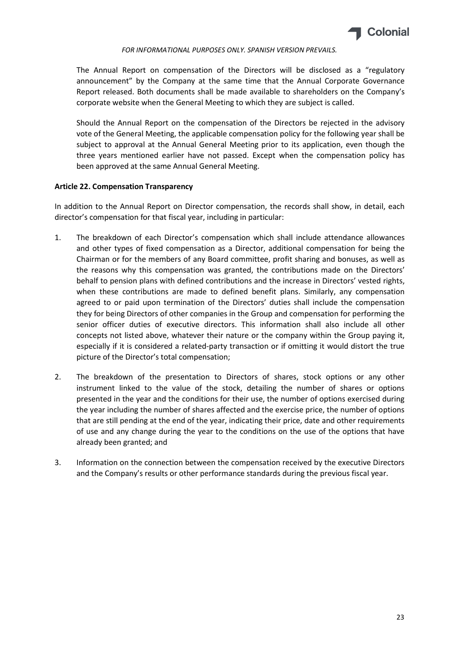

The Annual Report on compensation of the Directors will be disclosed as a "regulatory announcement" by the Company at the same time that the Annual Corporate Governance Report released. Both documents shall be made available to shareholders on the Company's corporate website when the General Meeting to which they are subject is called.

Should the Annual Report on the compensation of the Directors be rejected in the advisory vote of the General Meeting, the applicable compensation policy for the following year shall be subject to approval at the Annual General Meeting prior to its application, even though the three years mentioned earlier have not passed. Except when the compensation policy has been approved at the same Annual General Meeting.

# Article 22. Compensation Transparency

In addition to the Annual Report on Director compensation, the records shall show, in detail, each director's compensation for that fiscal year, including in particular:

- 1. The breakdown of each Director's compensation which shall include attendance allowances and other types of fixed compensation as a Director, additional compensation for being the Chairman or for the members of any Board committee, profit sharing and bonuses, as well as the reasons why this compensation was granted, the contributions made on the Directors' behalf to pension plans with defined contributions and the increase in Directors' vested rights, when these contributions are made to defined benefit plans. Similarly, any compensation agreed to or paid upon termination of the Directors' duties shall include the compensation they for being Directors of other companies in the Group and compensation for performing the senior officer duties of executive directors. This information shall also include all other concepts not listed above, whatever their nature or the company within the Group paying it, especially if it is considered a related-party transaction or if omitting it would distort the true picture of the Director's total compensation;
- 2. The breakdown of the presentation to Directors of shares, stock options or any other instrument linked to the value of the stock, detailing the number of shares or options presented in the year and the conditions for their use, the number of options exercised during the year including the number of shares affected and the exercise price, the number of options that are still pending at the end of the year, indicating their price, date and other requirements of use and any change during the year to the conditions on the use of the options that have already been granted; and
- 3. Information on the connection between the compensation received by the executive Directors and the Company's results or other performance standards during the previous fiscal year.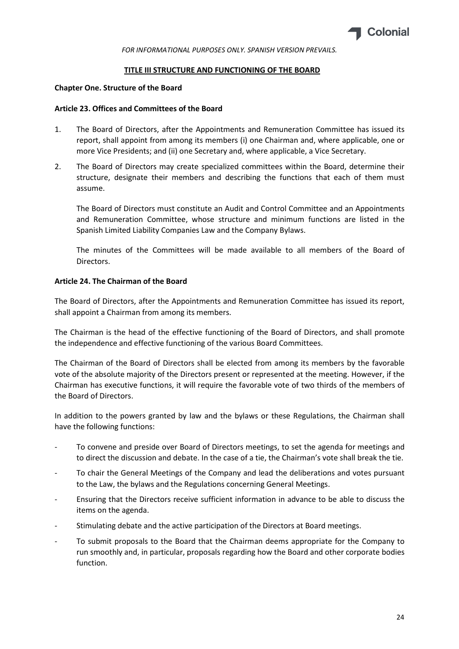

#### TITLE III STRUCTURE AND FUNCTIONING OF THE BOARD

#### Chapter One. Structure of the Board

#### Article 23. Offices and Committees of the Board

- 1. The Board of Directors, after the Appointments and Remuneration Committee has issued its report, shall appoint from among its members (i) one Chairman and, where applicable, one or more Vice Presidents; and (ii) one Secretary and, where applicable, a Vice Secretary.
- 2. The Board of Directors may create specialized committees within the Board, determine their structure, designate their members and describing the functions that each of them must assume.

The Board of Directors must constitute an Audit and Control Committee and an Appointments and Remuneration Committee, whose structure and minimum functions are listed in the Spanish Limited Liability Companies Law and the Company Bylaws.

The minutes of the Committees will be made available to all members of the Board of Directors.

## Article 24. The Chairman of the Board

The Board of Directors, after the Appointments and Remuneration Committee has issued its report, shall appoint a Chairman from among its members.

The Chairman is the head of the effective functioning of the Board of Directors, and shall promote the independence and effective functioning of the various Board Committees.

The Chairman of the Board of Directors shall be elected from among its members by the favorable vote of the absolute majority of the Directors present or represented at the meeting. However, if the Chairman has executive functions, it will require the favorable vote of two thirds of the members of the Board of Directors.

In addition to the powers granted by law and the bylaws or these Regulations, the Chairman shall have the following functions:

- To convene and preside over Board of Directors meetings, to set the agenda for meetings and to direct the discussion and debate. In the case of a tie, the Chairman's vote shall break the tie.
- To chair the General Meetings of the Company and lead the deliberations and votes pursuant to the Law, the bylaws and the Regulations concerning General Meetings.
- Ensuring that the Directors receive sufficient information in advance to be able to discuss the items on the agenda.
- Stimulating debate and the active participation of the Directors at Board meetings.
- To submit proposals to the Board that the Chairman deems appropriate for the Company to run smoothly and, in particular, proposals regarding how the Board and other corporate bodies function.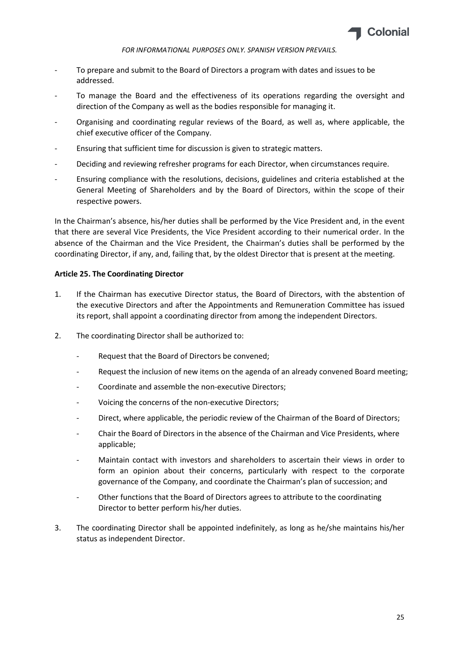

- To prepare and submit to the Board of Directors a program with dates and issues to be addressed.
- To manage the Board and the effectiveness of its operations regarding the oversight and direction of the Company as well as the bodies responsible for managing it.
- Organising and coordinating regular reviews of the Board, as well as, where applicable, the chief executive officer of the Company.
- Ensuring that sufficient time for discussion is given to strategic matters.
- Deciding and reviewing refresher programs for each Director, when circumstances require.
- Ensuring compliance with the resolutions, decisions, guidelines and criteria established at the General Meeting of Shareholders and by the Board of Directors, within the scope of their respective powers.

In the Chairman's absence, his/her duties shall be performed by the Vice President and, in the event that there are several Vice Presidents, the Vice President according to their numerical order. In the absence of the Chairman and the Vice President, the Chairman's duties shall be performed by the coordinating Director, if any, and, failing that, by the oldest Director that is present at the meeting.

# Article 25. The Coordinating Director

- 1. If the Chairman has executive Director status, the Board of Directors, with the abstention of the executive Directors and after the Appointments and Remuneration Committee has issued its report, shall appoint a coordinating director from among the independent Directors.
- 2. The coordinating Director shall be authorized to:
	- Request that the Board of Directors be convened;
	- Request the inclusion of new items on the agenda of an already convened Board meeting;
	- Coordinate and assemble the non-executive Directors:
	- Voicing the concerns of the non-executive Directors;
	- Direct, where applicable, the periodic review of the Chairman of the Board of Directors;
	- Chair the Board of Directors in the absence of the Chairman and Vice Presidents, where applicable;
	- Maintain contact with investors and shareholders to ascertain their views in order to form an opinion about their concerns, particularly with respect to the corporate governance of the Company, and coordinate the Chairman's plan of succession; and
	- Other functions that the Board of Directors agrees to attribute to the coordinating Director to better perform his/her duties.
- 3. The coordinating Director shall be appointed indefinitely, as long as he/she maintains his/her status as independent Director.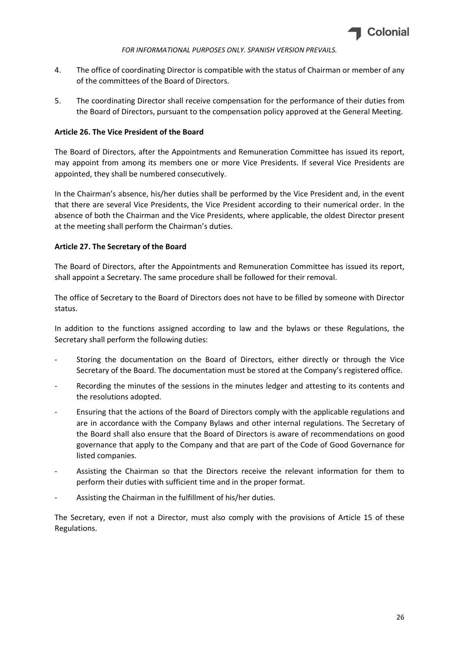

- 4. The office of coordinating Director is compatible with the status of Chairman or member of any of the committees of the Board of Directors.
- 5. The coordinating Director shall receive compensation for the performance of their duties from the Board of Directors, pursuant to the compensation policy approved at the General Meeting.

# Article 26. The Vice President of the Board

The Board of Directors, after the Appointments and Remuneration Committee has issued its report, may appoint from among its members one or more Vice Presidents. If several Vice Presidents are appointed, they shall be numbered consecutively.

In the Chairman's absence, his/her duties shall be performed by the Vice President and, in the event that there are several Vice Presidents, the Vice President according to their numerical order. In the absence of both the Chairman and the Vice Presidents, where applicable, the oldest Director present at the meeting shall perform the Chairman's duties.

# Article 27. The Secretary of the Board

The Board of Directors, after the Appointments and Remuneration Committee has issued its report, shall appoint a Secretary. The same procedure shall be followed for their removal.

The office of Secretary to the Board of Directors does not have to be filled by someone with Director status.

In addition to the functions assigned according to law and the bylaws or these Regulations, the Secretary shall perform the following duties:

- Storing the documentation on the Board of Directors, either directly or through the Vice Secretary of the Board. The documentation must be stored at the Company's registered office.
- Recording the minutes of the sessions in the minutes ledger and attesting to its contents and the resolutions adopted.
- Ensuring that the actions of the Board of Directors comply with the applicable regulations and are in accordance with the Company Bylaws and other internal regulations. The Secretary of the Board shall also ensure that the Board of Directors is aware of recommendations on good governance that apply to the Company and that are part of the Code of Good Governance for listed companies.
- Assisting the Chairman so that the Directors receive the relevant information for them to perform their duties with sufficient time and in the proper format.
- Assisting the Chairman in the fulfillment of his/her duties.

The Secretary, even if not a Director, must also comply with the provisions of Article 15 of these Regulations.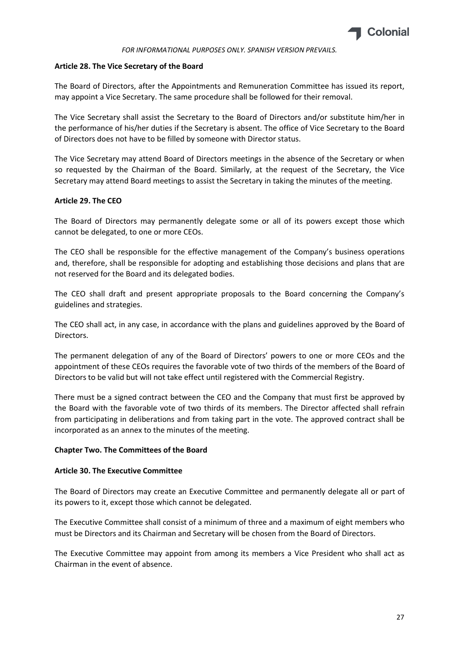

# Article 28. The Vice Secretary of the Board

The Board of Directors, after the Appointments and Remuneration Committee has issued its report, may appoint a Vice Secretary. The same procedure shall be followed for their removal.

The Vice Secretary shall assist the Secretary to the Board of Directors and/or substitute him/her in the performance of his/her duties if the Secretary is absent. The office of Vice Secretary to the Board of Directors does not have to be filled by someone with Director status.

The Vice Secretary may attend Board of Directors meetings in the absence of the Secretary or when so requested by the Chairman of the Board. Similarly, at the request of the Secretary, the Vice Secretary may attend Board meetings to assist the Secretary in taking the minutes of the meeting.

# Article 29. The CEO

The Board of Directors may permanently delegate some or all of its powers except those which cannot be delegated, to one or more CEOs.

The CEO shall be responsible for the effective management of the Company's business operations and, therefore, shall be responsible for adopting and establishing those decisions and plans that are not reserved for the Board and its delegated bodies.

The CEO shall draft and present appropriate proposals to the Board concerning the Company's guidelines and strategies.

The CEO shall act, in any case, in accordance with the plans and guidelines approved by the Board of Directors.

The permanent delegation of any of the Board of Directors' powers to one or more CEOs and the appointment of these CEOs requires the favorable vote of two thirds of the members of the Board of Directors to be valid but will not take effect until registered with the Commercial Registry.

There must be a signed contract between the CEO and the Company that must first be approved by the Board with the favorable vote of two thirds of its members. The Director affected shall refrain from participating in deliberations and from taking part in the vote. The approved contract shall be incorporated as an annex to the minutes of the meeting.

## Chapter Two. The Committees of the Board

## Article 30. The Executive Committee

The Board of Directors may create an Executive Committee and permanently delegate all or part of its powers to it, except those which cannot be delegated.

The Executive Committee shall consist of a minimum of three and a maximum of eight members who must be Directors and its Chairman and Secretary will be chosen from the Board of Directors.

The Executive Committee may appoint from among its members a Vice President who shall act as Chairman in the event of absence.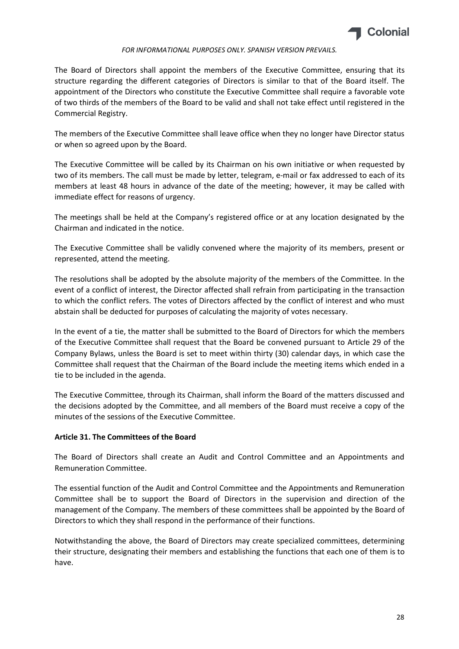

The Board of Directors shall appoint the members of the Executive Committee, ensuring that its structure regarding the different categories of Directors is similar to that of the Board itself. The appointment of the Directors who constitute the Executive Committee shall require a favorable vote of two thirds of the members of the Board to be valid and shall not take effect until registered in the Commercial Registry.

The members of the Executive Committee shall leave office when they no longer have Director status or when so agreed upon by the Board.

The Executive Committee will be called by its Chairman on his own initiative or when requested by two of its members. The call must be made by letter, telegram, e-mail or fax addressed to each of its members at least 48 hours in advance of the date of the meeting; however, it may be called with immediate effect for reasons of urgency.

The meetings shall be held at the Company's registered office or at any location designated by the Chairman and indicated in the notice.

The Executive Committee shall be validly convened where the majority of its members, present or represented, attend the meeting.

The resolutions shall be adopted by the absolute majority of the members of the Committee. In the event of a conflict of interest, the Director affected shall refrain from participating in the transaction to which the conflict refers. The votes of Directors affected by the conflict of interest and who must abstain shall be deducted for purposes of calculating the majority of votes necessary.

In the event of a tie, the matter shall be submitted to the Board of Directors for which the members of the Executive Committee shall request that the Board be convened pursuant to Article 29 of the Company Bylaws, unless the Board is set to meet within thirty (30) calendar days, in which case the Committee shall request that the Chairman of the Board include the meeting items which ended in a tie to be included in the agenda.

The Executive Committee, through its Chairman, shall inform the Board of the matters discussed and the decisions adopted by the Committee, and all members of the Board must receive a copy of the minutes of the sessions of the Executive Committee.

# Article 31. The Committees of the Board

The Board of Directors shall create an Audit and Control Committee and an Appointments and Remuneration Committee.

The essential function of the Audit and Control Committee and the Appointments and Remuneration Committee shall be to support the Board of Directors in the supervision and direction of the management of the Company. The members of these committees shall be appointed by the Board of Directors to which they shall respond in the performance of their functions.

Notwithstanding the above, the Board of Directors may create specialized committees, determining their structure, designating their members and establishing the functions that each one of them is to have.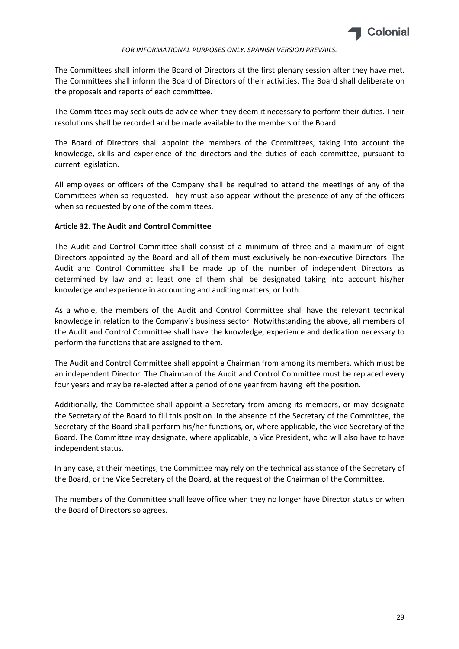

The Committees shall inform the Board of Directors at the first plenary session after they have met. The Committees shall inform the Board of Directors of their activities. The Board shall deliberate on the proposals and reports of each committee.

The Committees may seek outside advice when they deem it necessary to perform their duties. Their resolutions shall be recorded and be made available to the members of the Board.

The Board of Directors shall appoint the members of the Committees, taking into account the knowledge, skills and experience of the directors and the duties of each committee, pursuant to current legislation.

All employees or officers of the Company shall be required to attend the meetings of any of the Committees when so requested. They must also appear without the presence of any of the officers when so requested by one of the committees.

## Article 32. The Audit and Control Committee

The Audit and Control Committee shall consist of a minimum of three and a maximum of eight Directors appointed by the Board and all of them must exclusively be non-executive Directors. The Audit and Control Committee shall be made up of the number of independent Directors as determined by law and at least one of them shall be designated taking into account his/her knowledge and experience in accounting and auditing matters, or both.

As a whole, the members of the Audit and Control Committee shall have the relevant technical knowledge in relation to the Company's business sector. Notwithstanding the above, all members of the Audit and Control Committee shall have the knowledge, experience and dedication necessary to perform the functions that are assigned to them.

The Audit and Control Committee shall appoint a Chairman from among its members, which must be an independent Director. The Chairman of the Audit and Control Committee must be replaced every four years and may be re-elected after a period of one year from having left the position.

Additionally, the Committee shall appoint a Secretary from among its members, or may designate the Secretary of the Board to fill this position. In the absence of the Secretary of the Committee, the Secretary of the Board shall perform his/her functions, or, where applicable, the Vice Secretary of the Board. The Committee may designate, where applicable, a Vice President, who will also have to have independent status.

In any case, at their meetings, the Committee may rely on the technical assistance of the Secretary of the Board, or the Vice Secretary of the Board, at the request of the Chairman of the Committee.

The members of the Committee shall leave office when they no longer have Director status or when the Board of Directors so agrees.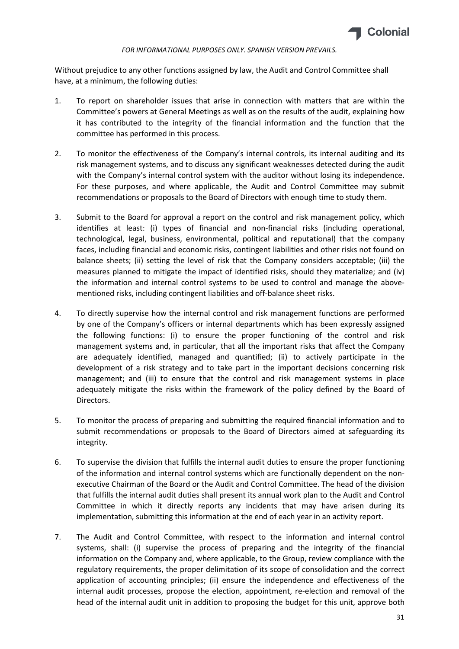

Without prejudice to any other functions assigned by law, the Audit and Control Committee shall have, at a minimum, the following duties:

- 1. To report on shareholder issues that arise in connection with matters that are within the Committee's powers at General Meetings as well as on the results of the audit, explaining how it has contributed to the integrity of the financial information and the function that the committee has performed in this process.
- 2. To monitor the effectiveness of the Company's internal controls, its internal auditing and its risk management systems, and to discuss any significant weaknesses detected during the audit with the Company's internal control system with the auditor without losing its independence. For these purposes, and where applicable, the Audit and Control Committee may submit recommendations or proposals to the Board of Directors with enough time to study them.
- 3. Submit to the Board for approval a report on the control and risk management policy, which identifies at least: (i) types of financial and non-financial risks (including operational, technological, legal, business, environmental, political and reputational) that the company faces, including financial and economic risks, contingent liabilities and other risks not found on balance sheets; (ii) setting the level of risk that the Company considers acceptable; (iii) the measures planned to mitigate the impact of identified risks, should they materialize; and (iv) the information and internal control systems to be used to control and manage the abovementioned risks, including contingent liabilities and off-balance sheet risks.
- 4. To directly supervise how the internal control and risk management functions are performed by one of the Company's officers or internal departments which has been expressly assigned the following functions: (i) to ensure the proper functioning of the control and risk management systems and, in particular, that all the important risks that affect the Company are adequately identified, managed and quantified; (ii) to actively participate in the development of a risk strategy and to take part in the important decisions concerning risk management; and (iii) to ensure that the control and risk management systems in place adequately mitigate the risks within the framework of the policy defined by the Board of Directors.
- 5. To monitor the process of preparing and submitting the required financial information and to submit recommendations or proposals to the Board of Directors aimed at safeguarding its integrity.
- 6. To supervise the division that fulfills the internal audit duties to ensure the proper functioning of the information and internal control systems which are functionally dependent on the nonexecutive Chairman of the Board or the Audit and Control Committee. The head of the division that fulfills the internal audit duties shall present its annual work plan to the Audit and Control Committee in which it directly reports any incidents that may have arisen during its implementation, submitting this information at the end of each year in an activity report.
- 7. The Audit and Control Committee, with respect to the information and internal control systems, shall: (i) supervise the process of preparing and the integrity of the financial information on the Company and, where applicable, to the Group, review compliance with the regulatory requirements, the proper delimitation of its scope of consolidation and the correct application of accounting principles; (ii) ensure the independence and effectiveness of the internal audit processes, propose the election, appointment, re-election and removal of the head of the internal audit unit in addition to proposing the budget for this unit, approve both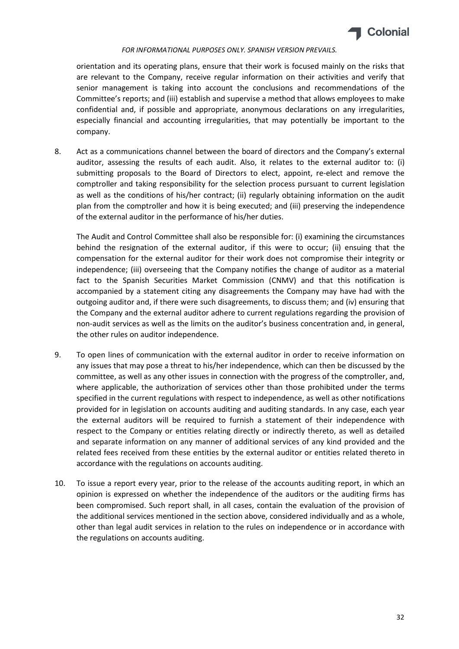

orientation and its operating plans, ensure that their work is focused mainly on the risks that are relevant to the Company, receive regular information on their activities and verify that senior management is taking into account the conclusions and recommendations of the Committee's reports; and (iii) establish and supervise a method that allows employees to make confidential and, if possible and appropriate, anonymous declarations on any irregularities, especially financial and accounting irregularities, that may potentially be important to the company.

8. Act as a communications channel between the board of directors and the Company's external auditor, assessing the results of each audit. Also, it relates to the external auditor to: (i) submitting proposals to the Board of Directors to elect, appoint, re-elect and remove the comptroller and taking responsibility for the selection process pursuant to current legislation as well as the conditions of his/her contract; (ii) regularly obtaining information on the audit plan from the comptroller and how it is being executed; and (iii) preserving the independence of the external auditor in the performance of his/her duties.

The Audit and Control Committee shall also be responsible for: (i) examining the circumstances behind the resignation of the external auditor, if this were to occur; (ii) ensuing that the compensation for the external auditor for their work does not compromise their integrity or independence; (iii) overseeing that the Company notifies the change of auditor as a material fact to the Spanish Securities Market Commission (CNMV) and that this notification is accompanied by a statement citing any disagreements the Company may have had with the outgoing auditor and, if there were such disagreements, to discuss them; and (iv) ensuring that the Company and the external auditor adhere to current regulations regarding the provision of non-audit services as well as the limits on the auditor's business concentration and, in general, the other rules on auditor independence.

- 9. To open lines of communication with the external auditor in order to receive information on any issues that may pose a threat to his/her independence, which can then be discussed by the committee, as well as any other issues in connection with the progress of the comptroller, and, where applicable, the authorization of services other than those prohibited under the terms specified in the current regulations with respect to independence, as well as other notifications provided for in legislation on accounts auditing and auditing standards. In any case, each year the external auditors will be required to furnish a statement of their independence with respect to the Company or entities relating directly or indirectly thereto, as well as detailed and separate information on any manner of additional services of any kind provided and the related fees received from these entities by the external auditor or entities related thereto in accordance with the regulations on accounts auditing.
- 10. To issue a report every year, prior to the release of the accounts auditing report, in which an opinion is expressed on whether the independence of the auditors or the auditing firms has been compromised. Such report shall, in all cases, contain the evaluation of the provision of the additional services mentioned in the section above, considered individually and as a whole, other than legal audit services in relation to the rules on independence or in accordance with the regulations on accounts auditing.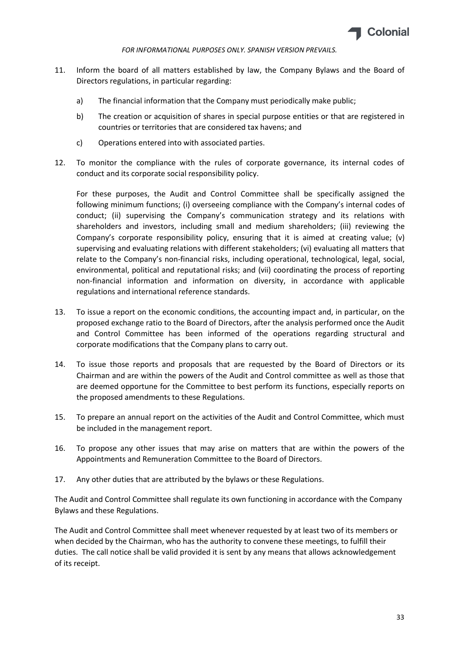

- 11. Inform the board of all matters established by law, the Company Bylaws and the Board of Directors regulations, in particular regarding:
	- a) The financial information that the Company must periodically make public;
	- b) The creation or acquisition of shares in special purpose entities or that are registered in countries or territories that are considered tax havens; and
	- c) Operations entered into with associated parties.
- 12. To monitor the compliance with the rules of corporate governance, its internal codes of conduct and its corporate social responsibility policy.

For these purposes, the Audit and Control Committee shall be specifically assigned the following minimum functions; (i) overseeing compliance with the Company's internal codes of conduct; (ii) supervising the Company's communication strategy and its relations with shareholders and investors, including small and medium shareholders; (iii) reviewing the Company's corporate responsibility policy, ensuring that it is aimed at creating value; (v) supervising and evaluating relations with different stakeholders; (vi) evaluating all matters that relate to the Company's non-financial risks, including operational, technological, legal, social, environmental, political and reputational risks; and (vii) coordinating the process of reporting non-financial information and information on diversity, in accordance with applicable regulations and international reference standards.

- 13. To issue a report on the economic conditions, the accounting impact and, in particular, on the proposed exchange ratio to the Board of Directors, after the analysis performed once the Audit and Control Committee has been informed of the operations regarding structural and corporate modifications that the Company plans to carry out.
- 14. To issue those reports and proposals that are requested by the Board of Directors or its Chairman and are within the powers of the Audit and Control committee as well as those that are deemed opportune for the Committee to best perform its functions, especially reports on the proposed amendments to these Regulations.
- 15. To prepare an annual report on the activities of the Audit and Control Committee, which must be included in the management report.
- 16. To propose any other issues that may arise on matters that are within the powers of the Appointments and Remuneration Committee to the Board of Directors.
- 17. Any other duties that are attributed by the bylaws or these Regulations.

The Audit and Control Committee shall regulate its own functioning in accordance with the Company Bylaws and these Regulations.

The Audit and Control Committee shall meet whenever requested by at least two of its members or when decided by the Chairman, who has the authority to convene these meetings, to fulfill their duties. The call notice shall be valid provided it is sent by any means that allows acknowledgement of its receipt.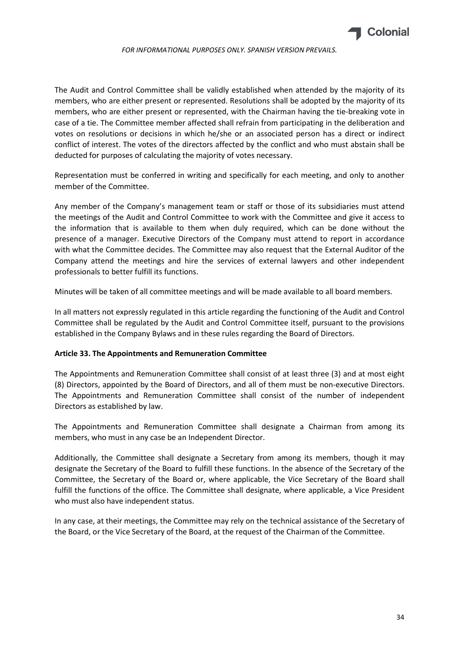

The Audit and Control Committee shall be validly established when attended by the majority of its members, who are either present or represented. Resolutions shall be adopted by the majority of its members, who are either present or represented, with the Chairman having the tie-breaking vote in case of a tie. The Committee member affected shall refrain from participating in the deliberation and votes on resolutions or decisions in which he/she or an associated person has a direct or indirect conflict of interest. The votes of the directors affected by the conflict and who must abstain shall be deducted for purposes of calculating the majority of votes necessary.

Representation must be conferred in writing and specifically for each meeting, and only to another member of the Committee.

Any member of the Company's management team or staff or those of its subsidiaries must attend the meetings of the Audit and Control Committee to work with the Committee and give it access to the information that is available to them when duly required, which can be done without the presence of a manager. Executive Directors of the Company must attend to report in accordance with what the Committee decides. The Committee may also request that the External Auditor of the Company attend the meetings and hire the services of external lawyers and other independent professionals to better fulfill its functions.

Minutes will be taken of all committee meetings and will be made available to all board members.

In all matters not expressly regulated in this article regarding the functioning of the Audit and Control Committee shall be regulated by the Audit and Control Committee itself, pursuant to the provisions established in the Company Bylaws and in these rules regarding the Board of Directors.

## Article 33. The Appointments and Remuneration Committee

The Appointments and Remuneration Committee shall consist of at least three (3) and at most eight (8) Directors, appointed by the Board of Directors, and all of them must be non-executive Directors. The Appointments and Remuneration Committee shall consist of the number of independent Directors as established by law.

The Appointments and Remuneration Committee shall designate a Chairman from among its members, who must in any case be an Independent Director.

Additionally, the Committee shall designate a Secretary from among its members, though it may designate the Secretary of the Board to fulfill these functions. In the absence of the Secretary of the Committee, the Secretary of the Board or, where applicable, the Vice Secretary of the Board shall fulfill the functions of the office. The Committee shall designate, where applicable, a Vice President who must also have independent status.

In any case, at their meetings, the Committee may rely on the technical assistance of the Secretary of the Board, or the Vice Secretary of the Board, at the request of the Chairman of the Committee.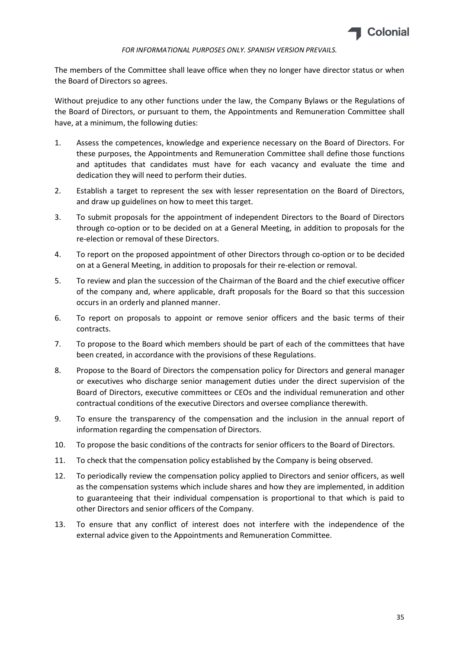

The members of the Committee shall leave office when they no longer have director status or when the Board of Directors so agrees.

Without prejudice to any other functions under the law, the Company Bylaws or the Regulations of the Board of Directors, or pursuant to them, the Appointments and Remuneration Committee shall have, at a minimum, the following duties:

- 1. Assess the competences, knowledge and experience necessary on the Board of Directors. For these purposes, the Appointments and Remuneration Committee shall define those functions and aptitudes that candidates must have for each vacancy and evaluate the time and dedication they will need to perform their duties.
- 2. Establish a target to represent the sex with lesser representation on the Board of Directors, and draw up guidelines on how to meet this target.
- 3. To submit proposals for the appointment of independent Directors to the Board of Directors through co-option or to be decided on at a General Meeting, in addition to proposals for the re-election or removal of these Directors.
- 4. To report on the proposed appointment of other Directors through co-option or to be decided on at a General Meeting, in addition to proposals for their re-election or removal.
- 5. To review and plan the succession of the Chairman of the Board and the chief executive officer of the company and, where applicable, draft proposals for the Board so that this succession occurs in an orderly and planned manner.
- 6. To report on proposals to appoint or remove senior officers and the basic terms of their contracts.
- 7. To propose to the Board which members should be part of each of the committees that have been created, in accordance with the provisions of these Regulations.
- 8. Propose to the Board of Directors the compensation policy for Directors and general manager or executives who discharge senior management duties under the direct supervision of the Board of Directors, executive committees or CEOs and the individual remuneration and other contractual conditions of the executive Directors and oversee compliance therewith.
- 9. To ensure the transparency of the compensation and the inclusion in the annual report of information regarding the compensation of Directors.
- 10. To propose the basic conditions of the contracts for senior officers to the Board of Directors.
- 11. To check that the compensation policy established by the Company is being observed.
- 12. To periodically review the compensation policy applied to Directors and senior officers, as well as the compensation systems which include shares and how they are implemented, in addition to guaranteeing that their individual compensation is proportional to that which is paid to other Directors and senior officers of the Company.
- 13. To ensure that any conflict of interest does not interfere with the independence of the external advice given to the Appointments and Remuneration Committee.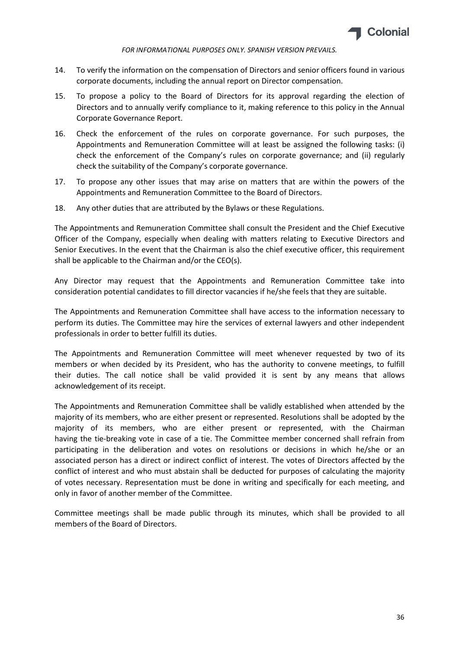

- 14. To verify the information on the compensation of Directors and senior officers found in various corporate documents, including the annual report on Director compensation.
- 15. To propose a policy to the Board of Directors for its approval regarding the election of Directors and to annually verify compliance to it, making reference to this policy in the Annual Corporate Governance Report.
- 16. Check the enforcement of the rules on corporate governance. For such purposes, the Appointments and Remuneration Committee will at least be assigned the following tasks: (i) check the enforcement of the Company's rules on corporate governance; and (ii) regularly check the suitability of the Company's corporate governance.
- 17. To propose any other issues that may arise on matters that are within the powers of the Appointments and Remuneration Committee to the Board of Directors.
- 18. Any other duties that are attributed by the Bylaws or these Regulations.

The Appointments and Remuneration Committee shall consult the President and the Chief Executive Officer of the Company, especially when dealing with matters relating to Executive Directors and Senior Executives. In the event that the Chairman is also the chief executive officer, this requirement shall be applicable to the Chairman and/or the CEO(s).

Any Director may request that the Appointments and Remuneration Committee take into consideration potential candidates to fill director vacancies if he/she feels that they are suitable.

The Appointments and Remuneration Committee shall have access to the information necessary to perform its duties. The Committee may hire the services of external lawyers and other independent professionals in order to better fulfill its duties.

The Appointments and Remuneration Committee will meet whenever requested by two of its members or when decided by its President, who has the authority to convene meetings, to fulfill their duties. The call notice shall be valid provided it is sent by any means that allows acknowledgement of its receipt.

The Appointments and Remuneration Committee shall be validly established when attended by the majority of its members, who are either present or represented. Resolutions shall be adopted by the majority of its members, who are either present or represented, with the Chairman having the tie-breaking vote in case of a tie. The Committee member concerned shall refrain from participating in the deliberation and votes on resolutions or decisions in which he/she or an associated person has a direct or indirect conflict of interest. The votes of Directors affected by the conflict of interest and who must abstain shall be deducted for purposes of calculating the majority of votes necessary. Representation must be done in writing and specifically for each meeting, and only in favor of another member of the Committee.

Committee meetings shall be made public through its minutes, which shall be provided to all members of the Board of Directors.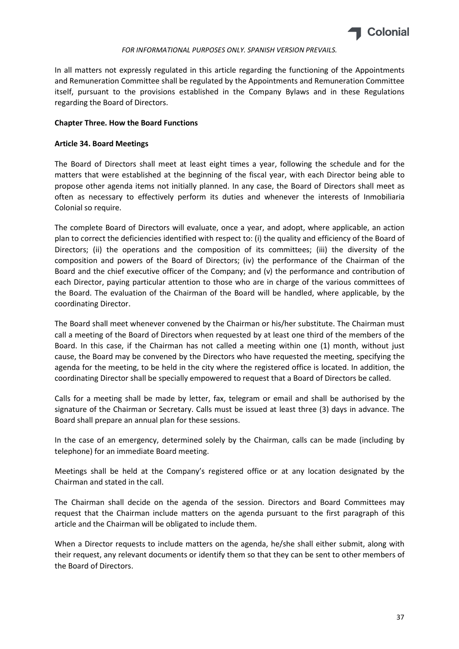

In all matters not expressly regulated in this article regarding the functioning of the Appointments and Remuneration Committee shall be regulated by the Appointments and Remuneration Committee itself, pursuant to the provisions established in the Company Bylaws and in these Regulations regarding the Board of Directors.

## Chapter Three. How the Board Functions

# Article 34. Board Meetings

The Board of Directors shall meet at least eight times a year, following the schedule and for the matters that were established at the beginning of the fiscal year, with each Director being able to propose other agenda items not initially planned. In any case, the Board of Directors shall meet as often as necessary to effectively perform its duties and whenever the interests of Inmobiliaria Colonial so require.

The complete Board of Directors will evaluate, once a year, and adopt, where applicable, an action plan to correct the deficiencies identified with respect to: (i) the quality and efficiency of the Board of Directors; (ii) the operations and the composition of its committees; (iii) the diversity of the composition and powers of the Board of Directors; (iv) the performance of the Chairman of the Board and the chief executive officer of the Company; and (v) the performance and contribution of each Director, paying particular attention to those who are in charge of the various committees of the Board. The evaluation of the Chairman of the Board will be handled, where applicable, by the coordinating Director.

The Board shall meet whenever convened by the Chairman or his/her substitute. The Chairman must call a meeting of the Board of Directors when requested by at least one third of the members of the Board. In this case, if the Chairman has not called a meeting within one (1) month, without just cause, the Board may be convened by the Directors who have requested the meeting, specifying the agenda for the meeting, to be held in the city where the registered office is located. In addition, the coordinating Director shall be specially empowered to request that a Board of Directors be called.

Calls for a meeting shall be made by letter, fax, telegram or email and shall be authorised by the signature of the Chairman or Secretary. Calls must be issued at least three (3) days in advance. The Board shall prepare an annual plan for these sessions.

In the case of an emergency, determined solely by the Chairman, calls can be made (including by telephone) for an immediate Board meeting.

Meetings shall be held at the Company's registered office or at any location designated by the Chairman and stated in the call.

The Chairman shall decide on the agenda of the session. Directors and Board Committees may request that the Chairman include matters on the agenda pursuant to the first paragraph of this article and the Chairman will be obligated to include them.

When a Director requests to include matters on the agenda, he/she shall either submit, along with their request, any relevant documents or identify them so that they can be sent to other members of the Board of Directors.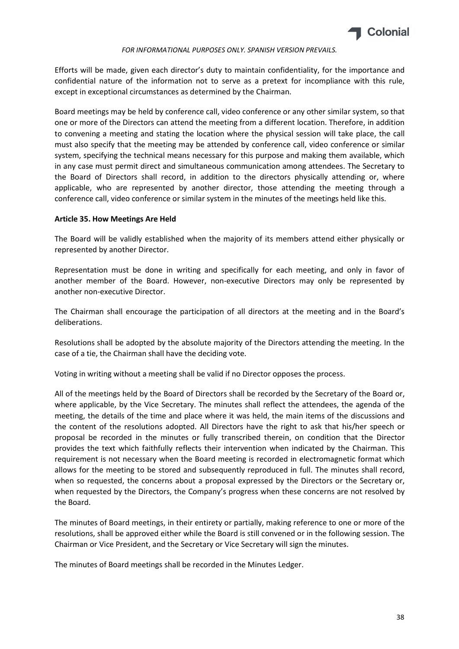

Efforts will be made, given each director's duty to maintain confidentiality, for the importance and confidential nature of the information not to serve as a pretext for incompliance with this rule, except in exceptional circumstances as determined by the Chairman.

Board meetings may be held by conference call, video conference or any other similar system, so that one or more of the Directors can attend the meeting from a different location. Therefore, in addition to convening a meeting and stating the location where the physical session will take place, the call must also specify that the meeting may be attended by conference call, video conference or similar system, specifying the technical means necessary for this purpose and making them available, which in any case must permit direct and simultaneous communication among attendees. The Secretary to the Board of Directors shall record, in addition to the directors physically attending or, where applicable, who are represented by another director, those attending the meeting through a conference call, video conference or similar system in the minutes of the meetings held like this.

# Article 35. How Meetings Are Held

The Board will be validly established when the majority of its members attend either physically or represented by another Director.

Representation must be done in writing and specifically for each meeting, and only in favor of another member of the Board. However, non-executive Directors may only be represented by another non-executive Director.

The Chairman shall encourage the participation of all directors at the meeting and in the Board's deliberations.

Resolutions shall be adopted by the absolute majority of the Directors attending the meeting. In the case of a tie, the Chairman shall have the deciding vote.

Voting in writing without a meeting shall be valid if no Director opposes the process.

All of the meetings held by the Board of Directors shall be recorded by the Secretary of the Board or, where applicable, by the Vice Secretary. The minutes shall reflect the attendees, the agenda of the meeting, the details of the time and place where it was held, the main items of the discussions and the content of the resolutions adopted. All Directors have the right to ask that his/her speech or proposal be recorded in the minutes or fully transcribed therein, on condition that the Director provides the text which faithfully reflects their intervention when indicated by the Chairman. This requirement is not necessary when the Board meeting is recorded in electromagnetic format which allows for the meeting to be stored and subsequently reproduced in full. The minutes shall record, when so requested, the concerns about a proposal expressed by the Directors or the Secretary or, when requested by the Directors, the Company's progress when these concerns are not resolved by the Board.

The minutes of Board meetings, in their entirety or partially, making reference to one or more of the resolutions, shall be approved either while the Board is still convened or in the following session. The Chairman or Vice President, and the Secretary or Vice Secretary will sign the minutes.

The minutes of Board meetings shall be recorded in the Minutes Ledger.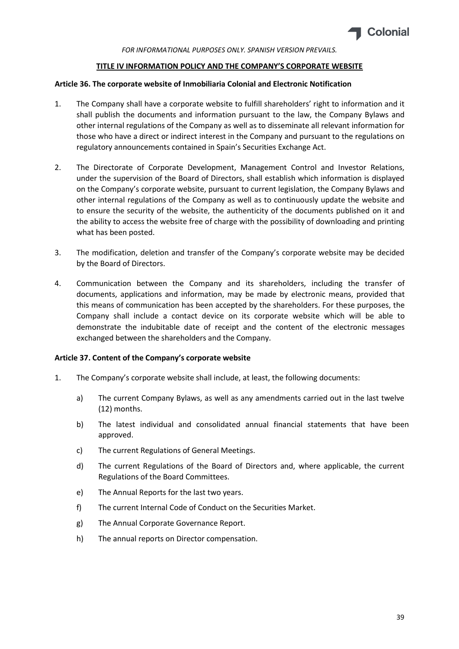

#### TITLE IV INFORMATION POLICY AND THE COMPANY'S CORPORATE WEBSITE

## Article 36. The corporate website of Inmobiliaria Colonial and Electronic Notification

- 1. The Company shall have a corporate website to fulfill shareholders' right to information and it shall publish the documents and information pursuant to the law, the Company Bylaws and other internal regulations of the Company as well as to disseminate all relevant information for those who have a direct or indirect interest in the Company and pursuant to the regulations on regulatory announcements contained in Spain's Securities Exchange Act.
- 2. The Directorate of Corporate Development, Management Control and Investor Relations, under the supervision of the Board of Directors, shall establish which information is displayed on the Company's corporate website, pursuant to current legislation, the Company Bylaws and other internal regulations of the Company as well as to continuously update the website and to ensure the security of the website, the authenticity of the documents published on it and the ability to access the website free of charge with the possibility of downloading and printing what has been posted.
- 3. The modification, deletion and transfer of the Company's corporate website may be decided by the Board of Directors.
- 4. Communication between the Company and its shareholders, including the transfer of documents, applications and information, may be made by electronic means, provided that this means of communication has been accepted by the shareholders. For these purposes, the Company shall include a contact device on its corporate website which will be able to demonstrate the indubitable date of receipt and the content of the electronic messages exchanged between the shareholders and the Company.

#### Article 37. Content of the Company's corporate website

- 1. The Company's corporate website shall include, at least, the following documents:
	- a) The current Company Bylaws, as well as any amendments carried out in the last twelve (12) months.
	- b) The latest individual and consolidated annual financial statements that have been approved.
	- c) The current Regulations of General Meetings.
	- d) The current Regulations of the Board of Directors and, where applicable, the current Regulations of the Board Committees.
	- e) The Annual Reports for the last two years.
	- f) The current Internal Code of Conduct on the Securities Market.
	- g) The Annual Corporate Governance Report.
	- h) The annual reports on Director compensation.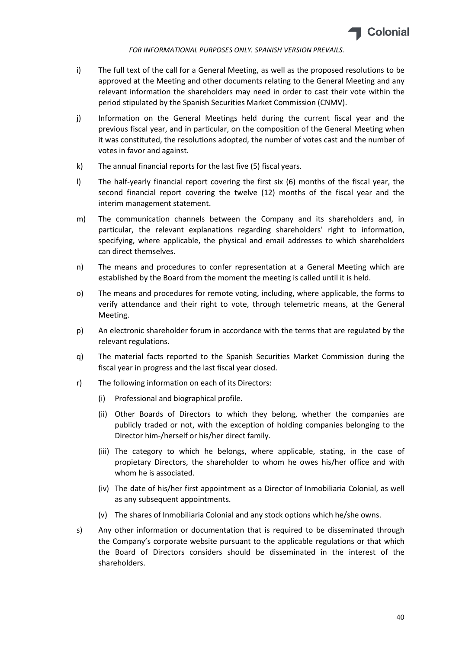

- i) The full text of the call for a General Meeting, as well as the proposed resolutions to be approved at the Meeting and other documents relating to the General Meeting and any relevant information the shareholders may need in order to cast their vote within the period stipulated by the Spanish Securities Market Commission (CNMV).
- j) Information on the General Meetings held during the current fiscal year and the previous fiscal year, and in particular, on the composition of the General Meeting when it was constituted, the resolutions adopted, the number of votes cast and the number of votes in favor and against.
- k) The annual financial reports for the last five (5) fiscal years.
- l) The half-yearly financial report covering the first six (6) months of the fiscal year, the second financial report covering the twelve (12) months of the fiscal year and the interim management statement.
- m) The communication channels between the Company and its shareholders and, in particular, the relevant explanations regarding shareholders' right to information, specifying, where applicable, the physical and email addresses to which shareholders can direct themselves.
- n) The means and procedures to confer representation at a General Meeting which are established by the Board from the moment the meeting is called until it is held.
- o) The means and procedures for remote voting, including, where applicable, the forms to verify attendance and their right to vote, through telemetric means, at the General Meeting.
- p) An electronic shareholder forum in accordance with the terms that are regulated by the relevant regulations.
- q) The material facts reported to the Spanish Securities Market Commission during the fiscal year in progress and the last fiscal year closed.
- r) The following information on each of its Directors:
	- (i) Professional and biographical profile.
	- (ii) Other Boards of Directors to which they belong, whether the companies are publicly traded or not, with the exception of holding companies belonging to the Director him-/herself or his/her direct family.
	- (iii) The category to which he belongs, where applicable, stating, in the case of propietary Directors, the shareholder to whom he owes his/her office and with whom he is associated.
	- (iv) The date of his/her first appointment as a Director of Inmobiliaria Colonial, as well as any subsequent appointments.
	- (v) The shares of Inmobiliaria Colonial and any stock options which he/she owns.
- s) Any other information or documentation that is required to be disseminated through the Company's corporate website pursuant to the applicable regulations or that which the Board of Directors considers should be disseminated in the interest of the shareholders.